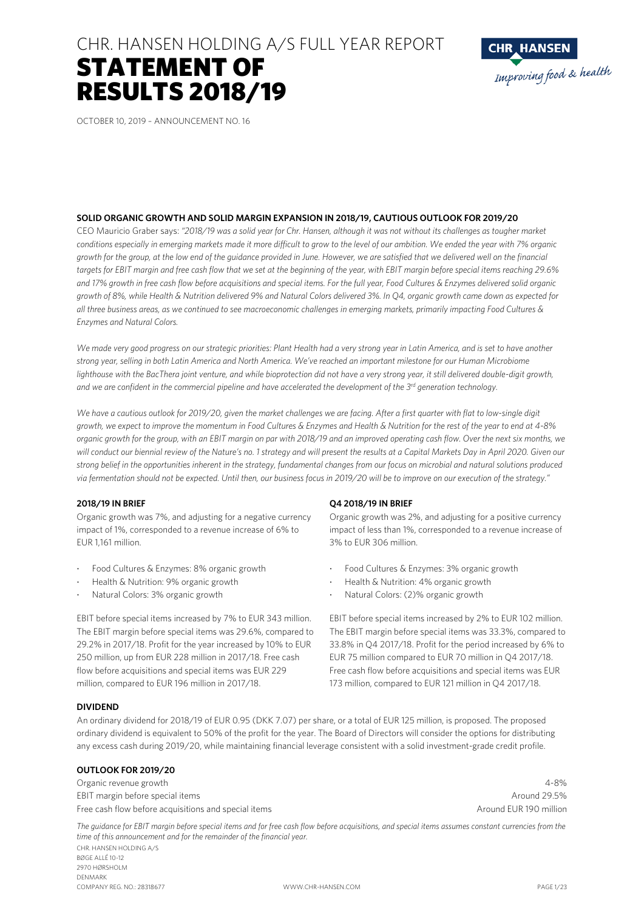# CHR. HANSEN HOLDING A/S FULL YEAR REPORT STATEMENT OF RESULTS 2018/19



OCTOBER 10, 2019 – ANNOUNCEMENT NO. 16

#### **SOLID ORGANIC GROWTH AND SOLID MARGIN EXPANSION IN 2018/19, CAUTIOUS OUTLOOK FOR 2019/20**

CEO Mauricio Graber says: *"2018/19 was a solid year for Chr. Hansen, although it was not without its challenges as tougher market conditions especially in emerging markets made it more difficult to grow to the level of our ambition. We ended the year with 7% organic growth for the group, at the low end of the guidance provided in June. However, we are satisfied that we delivered well on the financial targets for EBIT margin and free cash flow that we set at the beginning of the year, with EBIT margin before special items reaching 29.6% and 17% growth in free cash flow before acquisitions and special items. For the full year, Food Cultures & Enzymes delivered solid organic growth of 8%, while Health & Nutrition delivered 9% and Natural Colors delivered 3%. In Q4, organic growth came down as expected for all three business areas, as we continued to see macroeconomic challenges in emerging markets, primarily impacting Food Cultures & Enzymes and Natural Colors.* 

*We made very good progress on our strategic priorities: Plant Health had a very strong year in Latin America, and is set to have another strong year, selling in both Latin America and North America. We've reached an important milestone for our Human Microbiome*  lighthouse with the BacThera joint venture, and while bioprotection did not have a very strong year, it still delivered double-digit growth, *and we are confident in the commercial pipeline and have accelerated the development of the 3rd generation technology.* 

We have a cautious outlook for 2019/20, given the market challenges we are facing. After a first quarter with flat to low-single digit *growth, we expect to improve the momentum in Food Cultures & Enzymes and Health & Nutrition for the rest of the year to end at 4-8% organic growth for the group, with an EBIT margin on par with 2018/19 and an improved operating cash flow. Over the next six months, we*  will conduct our biennial review of the Nature's no. 1 strategy and will present the results at a Capital Markets Day in April 2020. Given our *strong belief in the opportunities inherent in the strategy, fundamental changes from our focus on microbial and natural solutions produced via fermentation should not be expected. Until then, our business focus in 2019/20 will be to improve on our execution of the strategy."* 

#### **2018/19 IN BRIEF**

Organic growth was 7%, and adjusting for a negative currency impact of 1%, corresponded to a revenue increase of 6% to FUR 1161 million.

- Food Cultures & Enzymes: 8% organic growth
- Health & Nutrition: 9% organic growth
- Natural Colors: 3% organic growth

EBIT before special items increased by 7% to EUR 343 million. The EBIT margin before special items was 29.6%, compared to 29.2% in 2017/18. Profit for the year increased by 10% to EUR 250 million, up from EUR 228 million in 2017/18. Free cash flow before acquisitions and special items was EUR 229 million, compared to EUR 196 million in 2017/18.

#### **Q4 2018/19 IN BRIEF**

Organic growth was 2%, and adjusting for a positive currency impact of less than 1%, corresponded to a revenue increase of 3% to EUR 306 million.

- Food Cultures & Enzymes: 3% organic growth
- Health & Nutrition: 4% organic growth
- Natural Colors: (2)% organic growth

EBIT before special items increased by 2% to EUR 102 million. The EBIT margin before special items was 33.3%, compared to 33.8% in Q4 2017/18. Profit for the period increased by 6% to EUR 75 million compared to EUR 70 million in Q4 2017/18. Free cash flow before acquisitions and special items was EUR 173 million, compared to EUR 121 million in Q4 2017/18.

#### **DIVIDEND**

An ordinary dividend for 2018/19 of EUR 0.95 (DKK 7.07) per share, or a total of EUR 125 million, is proposed. The proposed ordinary dividend is equivalent to 50% of the profit for the year. The Board of Directors will consider the options for distributing any excess cash during 2019/20, while maintaining financial leverage consistent with a solid investment-grade credit profile.

#### **OUTLOOK FOR 2019/20**

Organic revenue growth 4-8% EBIT margin before special items Around 29.5% and the special items Around 29.5% and the special items Around 29.5% Free cash flow before acquisitions and special items Around EUR 190 million

CHR. HANSEN HOLDING A/S BØGE ALLÉ 10-12 2970 HØRSHOLM DENMARK COMPANY REG. NO.: 28318677 WWW.CHR-HANSEN.COM PAGE 1/23 The guidance for EBIT margin before special items and for free cash flow before acquisitions, and special items assumes constant currencies from the *time of this announcement and for the remainder of the financial year.*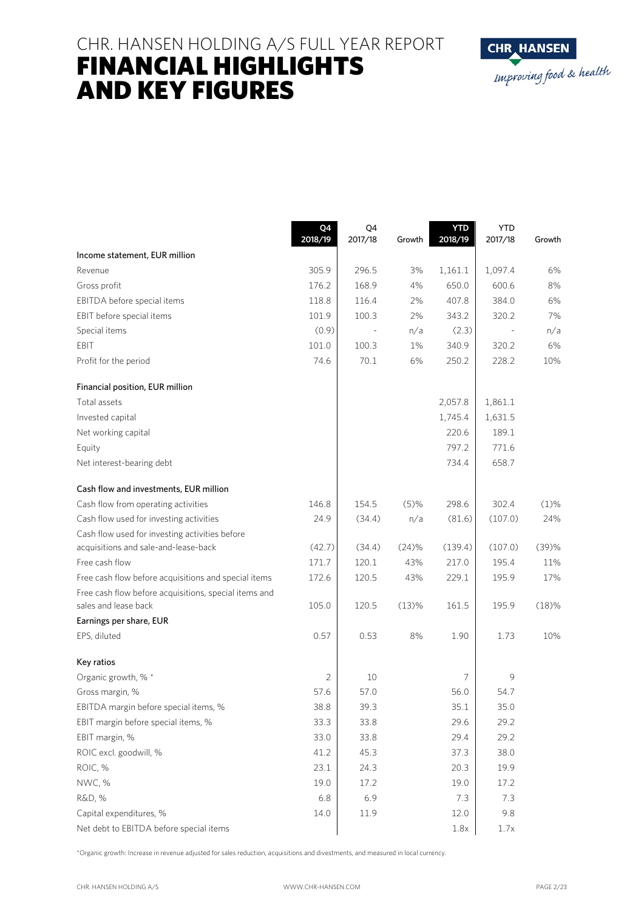# CHR. HANSEN HOLDING A/S FULL YEAR REPORT FINANCIAL HIGHLIGHTS AND KEY FIGURES



|                                                       | Q4<br>2018/19 | Q4<br>2017/18 | Growth  | <b>YTD</b><br>2018/19 | <b>YTD</b><br>2017/18 | Growth  |
|-------------------------------------------------------|---------------|---------------|---------|-----------------------|-----------------------|---------|
| Income statement, EUR million                         |               |               |         |                       |                       |         |
| Revenue                                               | 305.9         | 296.5         | 3%      | 1,161.1               | 1,097.4               | 6%      |
| Gross profit                                          | 176.2         | 168.9         | 4%      | 650.0                 | 600.6                 | 8%      |
| EBITDA before special items                           | 118.8         | 116.4         | 2%      | 407.8                 | 384.0                 | 6%      |
| EBIT before special items                             | 101.9         | 100.3         | 2%      | 343.2                 | 320.2                 | 7%      |
| Special items                                         | (0.9)         |               | n/a     | (2.3)                 |                       | n/a     |
| EBIT                                                  | 101.0         | 100.3         | 1%      | 340.9                 | 320.2                 | 6%      |
| Profit for the period                                 | 74.6          | 70.1          | 6%      | 250.2                 | 228.2                 | 10%     |
| Financial position, EUR million                       |               |               |         |                       |                       |         |
| Total assets                                          |               |               |         | 2,057.8               | 1,861.1               |         |
| Invested capital                                      |               |               |         | 1,745.4               | 1,631.5               |         |
| Net working capital                                   |               |               |         | 220.6                 | 189.1                 |         |
| Equity                                                |               |               |         | 797.2                 | 771.6                 |         |
| Net interest-bearing debt                             |               |               |         | 734.4                 | 658.7                 |         |
| Cash flow and investments, EUR million                |               |               |         |                       |                       |         |
| Cash flow from operating activities                   | 146.8         | 154.5         | $(5)$ % | 298.6                 | 302.4                 | $(1)\%$ |
| Cash flow used for investing activities               | 24.9          | (34.4)        | n/a     | (81.6)                | (107.0)               | 24%     |
| Cash flow used for investing activities before        |               |               |         |                       |                       |         |
| acquisitions and sale-and-lease-back                  | (42.7)        | (34.4)        | (24)%   | (139.4)               | (107.0)               | (39)%   |
| Free cash flow                                        | 171.7         | 120.1         | 43%     | 217.0                 | 195.4                 | 11%     |
| Free cash flow before acquisitions and special items  | 172.6         | 120.5         | 43%     | 229.1                 | 195.9                 | 17%     |
| Free cash flow before acquisitions, special items and |               |               |         |                       |                       |         |
| sales and lease back                                  | 105.0         | 120.5         | (13)%   | 161.5                 | 195.9                 | (18)%   |
| Earnings per share, EUR                               |               |               |         |                       |                       |         |
| EPS, diluted                                          | 0.57          | 0.53          | 8%      | 1.90                  | 1.73                  | 10%     |
| Key ratios                                            |               |               |         |                       |                       |         |
| Organic growth, % *                                   | 2             | 10            |         | 7                     | 9                     |         |
| Gross margin, %                                       | 57.6          | 57.0          |         | 56.0                  | 54.7                  |         |
| EBITDA margin before special items, %                 | 38.8          | 39.3          |         | 35.1                  | 35.0                  |         |
| EBIT margin before special items, %                   | 33.3          | 33.8          |         | 29.6                  | 29.2                  |         |
| EBIT margin, %                                        | 33.0          | 33.8          |         | 29.4                  | 29.2                  |         |
| ROIC excl. goodwill, %                                | 41.2          | 45.3          |         | 37.3                  | 38.0                  |         |
| ROIC, %                                               | 23.1          | 24.3          |         | 20.3                  | 19.9                  |         |
| NWC, %                                                | 19.0          | 17.2          |         | 19.0                  | 17.2                  |         |
| R&D, %                                                | 6.8           | 6.9           |         | 7.3                   | 7.3                   |         |
| Capital expenditures, %                               | 14.0          | 11.9          |         | 12.0                  | 9.8                   |         |
| Net debt to EBITDA before special items               |               |               |         | 1.8x                  | 1.7x                  |         |

\*Organic growth: Increase in revenue adjusted for sales reduction, acquisitions and divestments, and measured in local currency.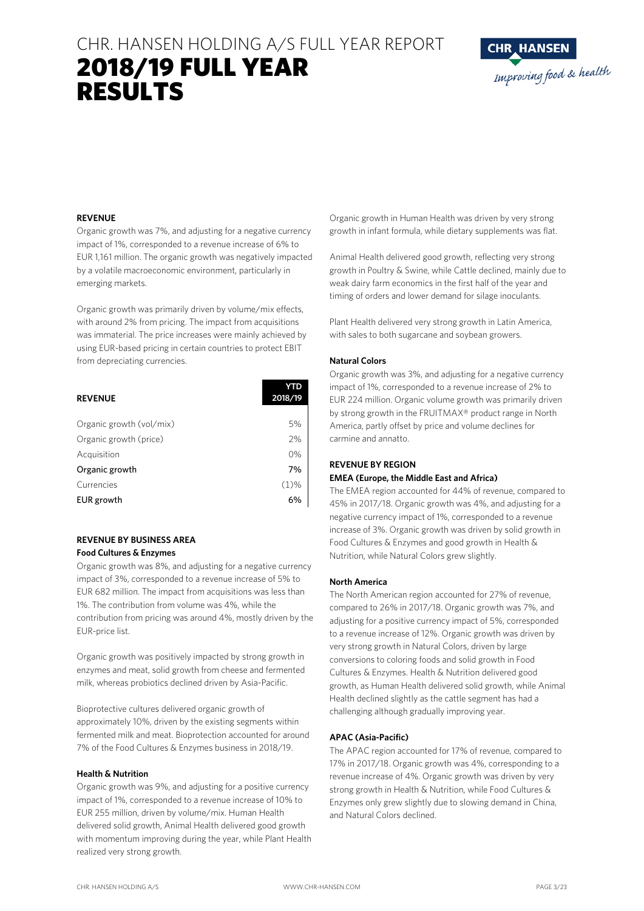# CHR. HANSEN HOLDING A/S FULL YEAR REPORT 2018/19 FULL YEAR RESULTS



#### **REVENUE**

Organic growth was 7%, and adjusting for a negative currency impact of 1%, corresponded to a revenue increase of 6% to EUR 1,161 million. The organic growth was negatively impacted by a volatile macroeconomic environment, particularly in emerging markets.

Organic growth was primarily driven by volume/mix effects, with around 2% from pricing. The impact from acquisitions was immaterial. The price increases were mainly achieved by using EUR-based pricing in certain countries to protect EBIT from depreciating currencies.

| <b>REVENUE</b>           | YTD<br>2018/19 |
|--------------------------|----------------|
|                          |                |
| Organic growth (vol/mix) | 5%             |
| Organic growth (price)   | 2%             |
| Acquisition              | 0%             |
| Organic growth           | 7%             |
| Currencies               | $(1)\%$        |
| EUR growth               | 6%             |

#### **REVENUE BY BUSINESS AREA Food Cultures & Enzymes**

Organic growth was 8%, and adjusting for a negative currency impact of 3%, corresponded to a revenue increase of 5% to EUR 682 million. The impact from acquisitions was less than 1%. The contribution from volume was 4%, while the contribution from pricing was around 4%, mostly driven by the EUR-price list.

Organic growth was positively impacted by strong growth in enzymes and meat, solid growth from cheese and fermented milk, whereas probiotics declined driven by Asia-Pacific.

Bioprotective cultures delivered organic growth of approximately 10%, driven by the existing segments within fermented milk and meat. Bioprotection accounted for around 7% of the Food Cultures & Enzymes business in 2018/19.

#### **Health & Nutrition**

Organic growth was 9%, and adjusting for a positive currency impact of 1%, corresponded to a revenue increase of 10% to EUR 255 million, driven by volume/mix. Human Health delivered solid growth, Animal Health delivered good growth with momentum improving during the year, while Plant Health realized very strong growth.

Organic growth in Human Health was driven by very strong growth in infant formula, while dietary supplements was flat.

Animal Health delivered good growth, reflecting very strong growth in Poultry & Swine, while Cattle declined, mainly due to weak dairy farm economics in the first half of the year and timing of orders and lower demand for silage inoculants.

Plant Health delivered very strong growth in Latin America, with sales to both sugarcane and soybean growers.

#### **Natural Colors**

Organic growth was 3%, and adjusting for a negative currency impact of 1%, corresponded to a revenue increase of 2% to EUR 224 million. Organic volume growth was primarily driven by strong growth in the FRUITMAX® product range in North America, partly offset by price and volume declines for carmine and annatto.

#### **REVENUE BY REGION**

#### **EMEA (Europe, the Middle East and Africa)**

The EMEA region accounted for 44% of revenue, compared to 45% in 2017/18. Organic growth was 4%, and adjusting for a negative currency impact of 1%, corresponded to a revenue increase of 3%. Organic growth was driven by solid growth in Food Cultures & Enzymes and good growth in Health & Nutrition, while Natural Colors grew slightly.

#### **North America**

The North American region accounted for 27% of revenue, compared to 26% in 2017/18. Organic growth was 7%, and adjusting for a positive currency impact of 5%, corresponded to a revenue increase of 12%. Organic growth was driven by very strong growth in Natural Colors, driven by large conversions to coloring foods and solid growth in Food Cultures & Enzymes. Health & Nutrition delivered good growth, as Human Health delivered solid growth, while Animal Health declined slightly as the cattle segment has had a challenging although gradually improving year.

#### **APAC (Asia-Pacific)**

The APAC region accounted for 17% of revenue, compared to 17% in 2017/18. Organic growth was 4%, corresponding to a revenue increase of 4%. Organic growth was driven by very strong growth in Health & Nutrition, while Food Cultures & Enzymes only grew slightly due to slowing demand in China, and Natural Colors declined.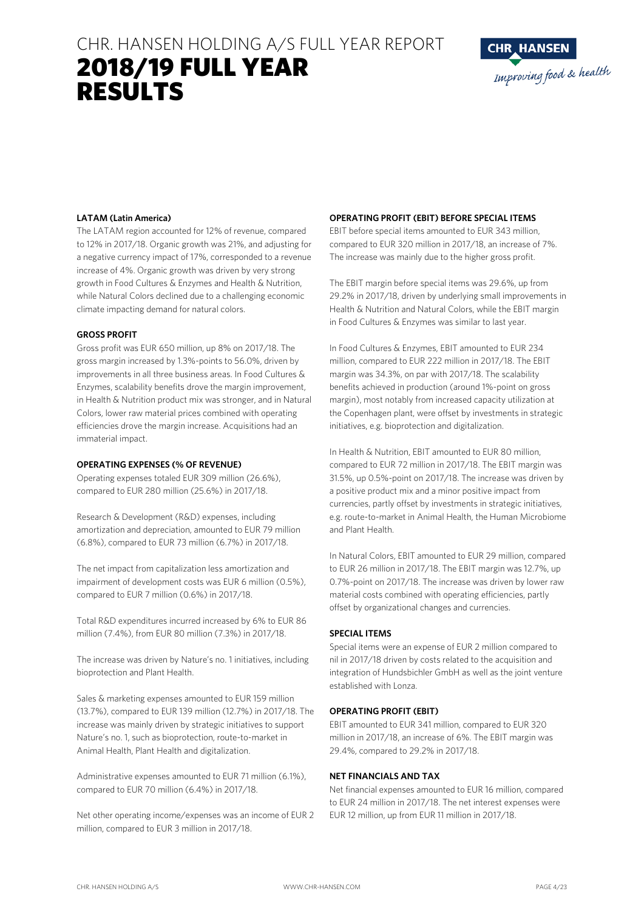# CHR. HANSEN HOLDING A/S FULL YEAR REPORT 2018/19 FULL YEAR RESULTS



#### **LATAM (Latin America)**

The LATAM region accounted for 12% of revenue, compared to 12% in 2017/18. Organic growth was 21%, and adjusting for a negative currency impact of 17%, corresponded to a revenue increase of 4%. Organic growth was driven by very strong growth in Food Cultures & Enzymes and Health & Nutrition, while Natural Colors declined due to a challenging economic climate impacting demand for natural colors.

#### **GROSS PROFIT**

Gross profit was EUR 650 million, up 8% on 2017/18. The gross margin increased by 1.3%-points to 56.0%, driven by improvements in all three business areas. In Food Cultures & Enzymes, scalability benefits drove the margin improvement, in Health & Nutrition product mix was stronger, and in Natural Colors, lower raw material prices combined with operating efficiencies drove the margin increase. Acquisitions had an immaterial impact.

#### **OPERATING EXPENSES (% OF REVENUE)**

Operating expenses totaled EUR 309 million (26.6%), compared to EUR 280 million (25.6%) in 2017/18.

Research & Development (R&D) expenses, including amortization and depreciation, amounted to EUR 79 million (6.8%), compared to EUR 73 million (6.7%) in 2017/18.

The net impact from capitalization less amortization and impairment of development costs was EUR 6 million (0.5%), compared to EUR 7 million (0.6%) in 2017/18.

Total R&D expenditures incurred increased by 6% to EUR 86 million (7.4%), from EUR 80 million (7.3%) in 2017/18.

The increase was driven by Nature's no. 1 initiatives, including bioprotection and Plant Health.

Sales & marketing expenses amounted to EUR 159 million (13.7%), compared to EUR 139 million (12.7%) in 2017/18. The increase was mainly driven by strategic initiatives to support Nature's no. 1, such as bioprotection, route-to-market in Animal Health, Plant Health and digitalization.

Administrative expenses amounted to EUR 71 million (6.1%), compared to EUR 70 million (6.4%) in 2017/18.

Net other operating income/expenses was an income of EUR 2 million, compared to EUR 3 million in 2017/18.

#### **OPERATING PROFIT (EBIT) BEFORE SPECIAL ITEMS**

EBIT before special items amounted to EUR 343 million, compared to EUR 320 million in 2017/18, an increase of 7%. The increase was mainly due to the higher gross profit.

The EBIT margin before special items was 29.6%, up from 29.2% in 2017/18, driven by underlying small improvements in Health & Nutrition and Natural Colors, while the EBIT margin in Food Cultures & Enzymes was similar to last year.

In Food Cultures & Enzymes, EBIT amounted to EUR 234 million, compared to EUR 222 million in 2017/18. The EBIT margin was 34.3%, on par with 2017/18. The scalability benefits achieved in production (around 1%-point on gross margin), most notably from increased capacity utilization at the Copenhagen plant, were offset by investments in strategic initiatives, e.g. bioprotection and digitalization.

In Health & Nutrition, EBIT amounted to EUR 80 million, compared to EUR 72 million in 2017/18. The EBIT margin was 31.5%, up 0.5%-point on 2017/18. The increase was driven by a positive product mix and a minor positive impact from currencies, partly offset by investments in strategic initiatives, e.g. route-to-market in Animal Health, the Human Microbiome and Plant Health.

In Natural Colors, EBIT amounted to EUR 29 million, compared to EUR 26 million in 2017/18. The EBIT margin was 12.7%, up 0.7%-point on 2017/18. The increase was driven by lower raw material costs combined with operating efficiencies, partly offset by organizational changes and currencies.

#### **SPECIAL ITEMS**

Special items were an expense of EUR 2 million compared to nil in 2017/18 driven by costs related to the acquisition and integration of Hundsbichler GmbH as well as the joint venture established with Lonza.

#### **OPERATING PROFIT (EBIT)**

EBIT amounted to EUR 341 million, compared to EUR 320 million in 2017/18, an increase of 6%. The EBIT margin was 29.4%, compared to 29.2% in 2017/18.

#### **NET FINANCIALS AND TAX**

Net financial expenses amounted to EUR 16 million, compared to EUR 24 million in 2017/18. The net interest expenses were EUR 12 million, up from EUR 11 million in 2017/18.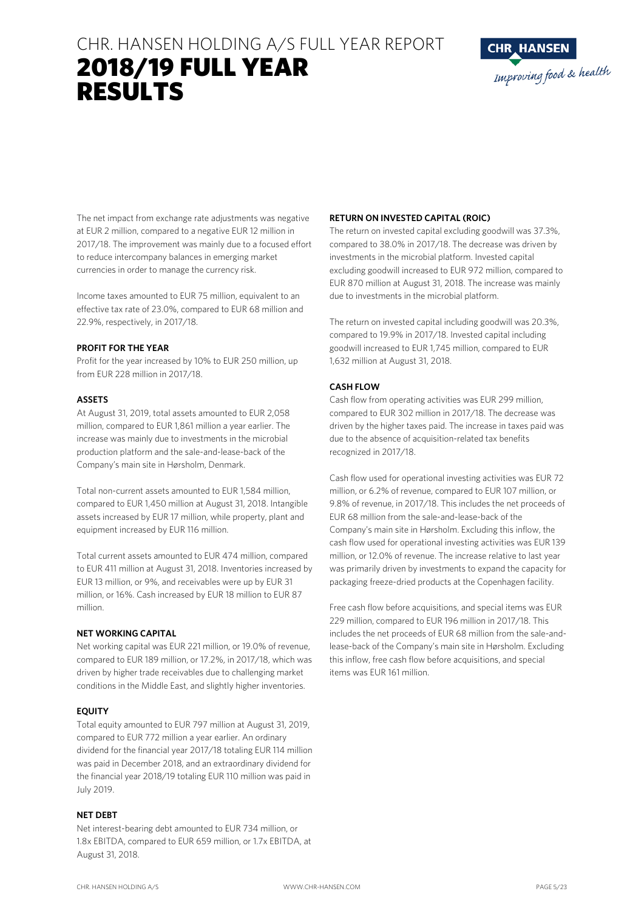# CHR. HANSEN HOLDING A/S FULL YEAR REPORT 2018/19 FULL YEAR RESULTS



The net impact from exchange rate adjustments was negative at EUR 2 million, compared to a negative EUR 12 million in 2017/18. The improvement was mainly due to a focused effort to reduce intercompany balances in emerging market currencies in order to manage the currency risk.

Income taxes amounted to EUR 75 million, equivalent to an effective tax rate of 23.0%, compared to EUR 68 million and 22.9%, respectively, in 2017/18.

#### **PROFIT FOR THE YEAR**

Profit for the year increased by 10% to EUR 250 million, up from EUR 228 million in 2017/18.

### **ASSETS**

At August 31, 2019, total assets amounted to EUR 2,058 million, compared to EUR 1,861 million a year earlier. The increase was mainly due to investments in the microbial production platform and the sale-and-lease-back of the Company's main site in Hørsholm, Denmark.

Total non-current assets amounted to EUR 1,584 million, compared to EUR 1,450 million at August 31, 2018. Intangible assets increased by EUR 17 million, while property, plant and equipment increased by EUR 116 million.

Total current assets amounted to EUR 474 million, compared to EUR 411 million at August 31, 2018. Inventories increased by EUR 13 million, or 9%, and receivables were up by EUR 31 million, or 16%. Cash increased by EUR 18 million to EUR 87 million.

## **NET WORKING CAPITAL**

Net working capital was EUR 221 million, or 19.0% of revenue, compared to EUR 189 million, or 17.2%, in 2017/18, which was driven by higher trade receivables due to challenging market conditions in the Middle East, and slightly higher inventories.

### **EQUITY**

Total equity amounted to EUR 797 million at August 31, 2019, compared to EUR 772 million a year earlier. An ordinary dividend for the financial year 2017/18 totaling EUR 114 million was paid in December 2018, and an extraordinary dividend for the financial year 2018/19 totaling EUR 110 million was paid in July 2019.

### **NET DEBT**

Net interest-bearing debt amounted to EUR 734 million, or 1.8x EBITDA, compared to EUR 659 million, or 1.7x EBITDA, at August 31, 2018.

### **RETURN ON INVESTED CAPITAL (ROIC)**

The return on invested capital excluding goodwill was 37.3%, compared to 38.0% in 2017/18. The decrease was driven by investments in the microbial platform. Invested capital excluding goodwill increased to EUR 972 million, compared to EUR 870 million at August 31, 2018. The increase was mainly due to investments in the microbial platform.

The return on invested capital including goodwill was 20.3%, compared to 19.9% in 2017/18. Invested capital including goodwill increased to EUR 1,745 million, compared to EUR 1,632 million at August 31, 2018.

## **CASH FLOW**

Cash flow from operating activities was EUR 299 million, compared to EUR 302 million in 2017/18. The decrease was driven by the higher taxes paid. The increase in taxes paid was due to the absence of acquisition-related tax benefits recognized in 2017/18.

Cash flow used for operational investing activities was EUR 72 million, or 6.2% of revenue, compared to EUR 107 million, or 9.8% of revenue, in 2017/18. This includes the net proceeds of EUR 68 million from the sale-and-lease-back of the Company's main site in Hørsholm. Excluding this inflow, the cash flow used for operational investing activities was EUR 139 million, or 12.0% of revenue. The increase relative to last year was primarily driven by investments to expand the capacity for packaging freeze-dried products at the Copenhagen facility.

Free cash flow before acquisitions, and special items was EUR 229 million, compared to EUR 196 million in 2017/18. This includes the net proceeds of EUR 68 million from the sale-andlease-back of the Company's main site in Hørsholm. Excluding this inflow, free cash flow before acquisitions, and special items was EUR 161 million.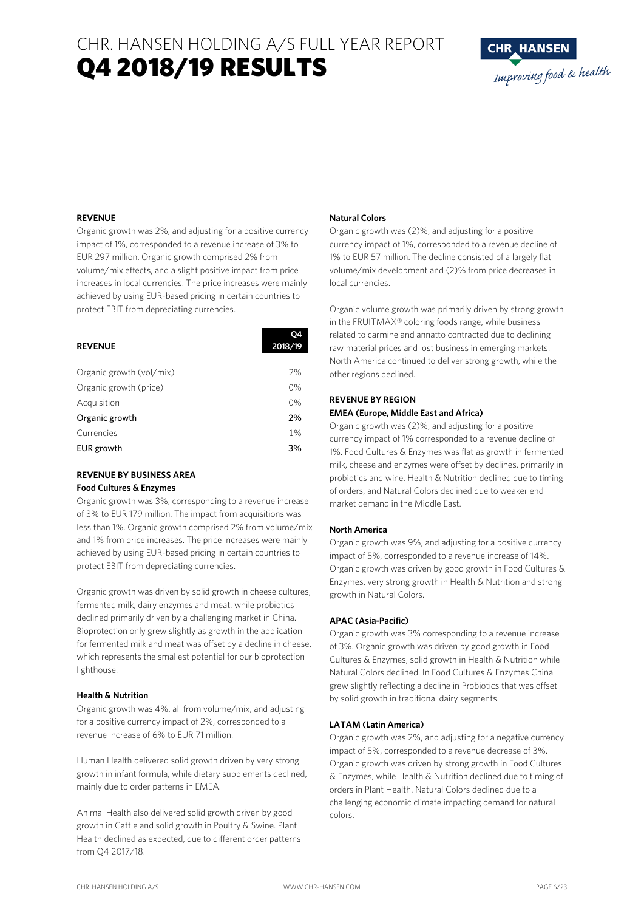# CHR. HANSEN HOLDING A/S FULL YEAR REPORT Q4 2018/19 RESULTS



#### **REVENUE**

Organic growth was 2%, and adjusting for a positive currency impact of 1%, corresponded to a revenue increase of 3% to EUR 297 million. Organic growth comprised 2% from volume/mix effects, and a slight positive impact from price increases in local currencies. The price increases were mainly achieved by using EUR-based pricing in certain countries to protect EBIT from depreciating currencies.

| <b>REVENUE</b>           | 04<br>2018/19 |
|--------------------------|---------------|
|                          |               |
| Organic growth (vol/mix) | 2%            |
| Organic growth (price)   | 0%            |
| Acquisition              | 0%            |
| Organic growth           | 2%            |
| Currencies               | 1%            |
| EUR growth               | 3%            |

### **REVENUE BY BUSINESS AREA Food Cultures & Enzymes**

Organic growth was 3%, corresponding to a revenue increase of 3% to EUR 179 million. The impact from acquisitions was less than 1%. Organic growth comprised 2% from volume/mix and 1% from price increases. The price increases were mainly achieved by using EUR-based pricing in certain countries to protect EBIT from depreciating currencies.

Organic growth was driven by solid growth in cheese cultures, fermented milk, dairy enzymes and meat, while probiotics declined primarily driven by a challenging market in China. Bioprotection only grew slightly as growth in the application for fermented milk and meat was offset by a decline in cheese, which represents the smallest potential for our bioprotection lighthouse.

#### **Health & Nutrition**

Organic growth was 4%, all from volume/mix, and adjusting for a positive currency impact of 2%, corresponded to a revenue increase of 6% to EUR 71 million.

Human Health delivered solid growth driven by very strong growth in infant formula, while dietary supplements declined, mainly due to order patterns in EMEA.

Animal Health also delivered solid growth driven by good growth in Cattle and solid growth in Poultry & Swine. Plant Health declined as expected, due to different order patterns from Q4 2017/18.

#### **Natural Colors**

Organic growth was (2)%, and adjusting for a positive currency impact of 1%, corresponded to a revenue decline of 1% to EUR 57 million. The decline consisted of a largely flat volume/mix development and (2)% from price decreases in local currencies.

Organic volume growth was primarily driven by strong growth in the FRUITMAX® coloring foods range, while business related to carmine and annatto contracted due to declining raw material prices and lost business in emerging markets. North America continued to deliver strong growth, while the other regions declined.

#### **REVENUE BY REGION EMEA (Europe, Middle East and Africa)**

Organic growth was (2)%, and adjusting for a positive currency impact of 1% corresponded to a revenue decline of 1%. Food Cultures & Enzymes was flat as growth in fermented milk, cheese and enzymes were offset by declines, primarily in probiotics and wine. Health & Nutrition declined due to timing of orders, and Natural Colors declined due to weaker end market demand in the Middle East.

### **North America**

Organic growth was 9%, and adjusting for a positive currency impact of 5%, corresponded to a revenue increase of 14%. Organic growth was driven by good growth in Food Cultures & Enzymes, very strong growth in Health & Nutrition and strong growth in Natural Colors.

### **APAC (Asia-Pacific)**

Organic growth was 3% corresponding to a revenue increase of 3%. Organic growth was driven by good growth in Food Cultures & Enzymes, solid growth in Health & Nutrition while Natural Colors declined. In Food Cultures & Enzymes China grew slightly reflecting a decline in Probiotics that was offset by solid growth in traditional dairy segments.

#### **LATAM (Latin America)**

Organic growth was 2%, and adjusting for a negative currency impact of 5%, corresponded to a revenue decrease of 3%. Organic growth was driven by strong growth in Food Cultures & Enzymes, while Health & Nutrition declined due to timing of orders in Plant Health. Natural Colors declined due to a challenging economic climate impacting demand for natural colors.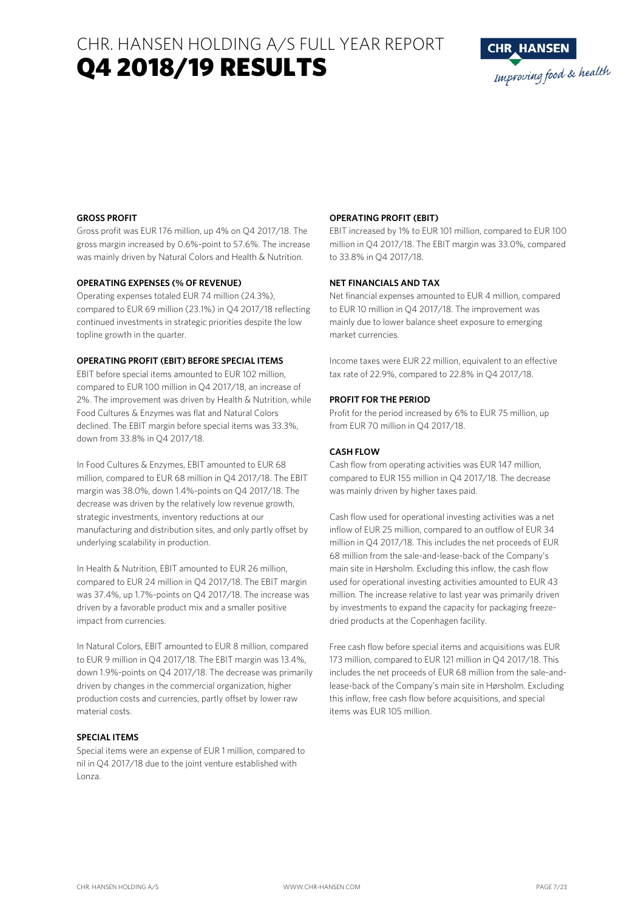CHR. HANSEN HOLDING A/S FULL YEAR REPORT Q4 2018/19 RESULTS



#### **GROSS PROFIT**

Gross profit was EUR 176 million, up 4% on Q4 2017/18. The gross margin increased by 0.6%-point to 57.6%. The increase was mainly driven by Natural Colors and Health & Nutrition.

#### **OPERATING EXPENSES (% OF REVENUE)**

Operating expenses totaled EUR 74 million (24.3%), compared to EUR 69 million (23.1%) in Q4 2017/18 reflecting continued investments in strategic priorities despite the low topline growth in the quarter.

#### **OPERATING PROFIT (EBIT) BEFORE SPECIAL ITEMS**

EBIT before special items amounted to EUR 102 million, compared to EUR 100 million in Q4 2017/18, an increase of 2%. The improvement was driven by Health & Nutrition, while Food Cultures & Enzymes was flat and Natural Colors declined. The EBIT margin before special items was 33.3%, down from 33.8% in Q4 2017/18.

In Food Cultures & Enzymes, EBIT amounted to EUR 68 million, compared to EUR 68 million in Q4 2017/18. The EBIT margin was 38.0%, down 1.4%-points on Q4 2017/18. The decrease was driven by the relatively low revenue growth, strategic investments, inventory reductions at our manufacturing and distribution sites, and only partly offset by underlying scalability in production.

In Health & Nutrition, EBIT amounted to EUR 26 million, compared to EUR 24 million in Q4 2017/18. The EBIT margin was 37.4%, up 1.7%-points on Q4 2017/18. The increase was driven by a favorable product mix and a smaller positive impact from currencies.

In Natural Colors, EBIT amounted to EUR 8 million, compared to EUR 9 million in Q4 2017/18. The EBIT margin was 13.4%, down 1.9%-points on Q4 2017/18. The decrease was primarily driven by changes in the commercial organization, higher production costs and currencies, partly offset by lower raw material costs.

#### **SPECIAL ITEMS**

Special items were an expense of EUR 1 million, compared to nil in Q4 2017/18 due to the joint venture established with Lonza.

#### **OPERATING PROFIT (EBIT)**

EBIT increased by 1% to EUR 101 million, compared to EUR 100 million in Q4 2017/18. The EBIT margin was 33.0%, compared to 33.8% in Q4 2017/18.

#### **NET FINANCIALS AND TAX**

Net financial expenses amounted to EUR 4 million, compared to EUR 10 million in Q4 2017/18. The improvement was mainly due to lower balance sheet exposure to emerging market currencies.

Income taxes were EUR 22 million, equivalent to an effective tax rate of 22.9%, compared to 22.8% in Q4 2017/18.

#### **PROFIT FOR THE PERIOD**

Profit for the period increased by 6% to EUR 75 million, up from EUR 70 million in Q4 2017/18.

#### **CASH FLOW**

Cash flow from operating activities was EUR 147 million, compared to EUR 155 million in Q4 2017/18. The decrease was mainly driven by higher taxes paid.

Cash flow used for operational investing activities was a net inflow of EUR 25 million, compared to an outflow of EUR 34 million in Q4 2017/18. This includes the net proceeds of EUR 68 million from the sale-and-lease-back of the Company's main site in Hørsholm. Excluding this inflow, the cash flow used for operational investing activities amounted to EUR 43 million. The increase relative to last year was primarily driven by investments to expand the capacity for packaging freezedried products at the Copenhagen facility.

Free cash flow before special items and acquisitions was EUR 173 million, compared to EUR 121 million in Q4 2017/18. This includes the net proceeds of EUR 68 million from the sale-andlease-back of the Company's main site in Hørsholm. Excluding this inflow, free cash flow before acquisitions, and special items was EUR 105 million.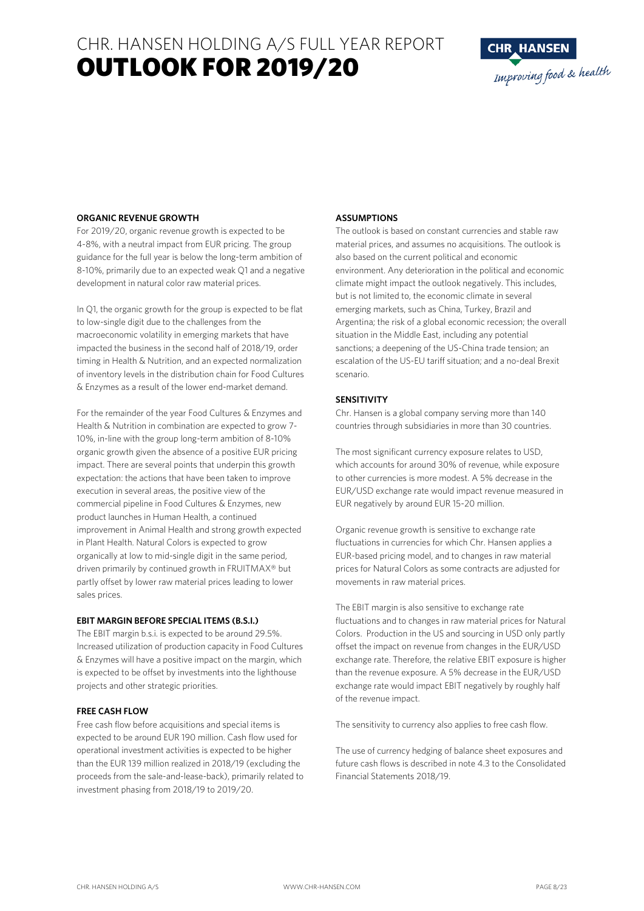# CHR. HANSEN HOLDING A/S FULL YEAR REPORT OUTLOOK FOR 2019/20



#### **ORGANIC REVENUE GROWTH**

For 2019/20, organic revenue growth is expected to be 4-8%, with a neutral impact from EUR pricing. The group guidance for the full year is below the long-term ambition of 8-10%, primarily due to an expected weak Q1 and a negative development in natural color raw material prices.

In Q1, the organic growth for the group is expected to be flat to low-single digit due to the challenges from the macroeconomic volatility in emerging markets that have impacted the business in the second half of 2018/19, order timing in Health & Nutrition, and an expected normalization of inventory levels in the distribution chain for Food Cultures & Enzymes as a result of the lower end-market demand.

For the remainder of the year Food Cultures & Enzymes and Health & Nutrition in combination are expected to grow 7- 10%, in-line with the group long-term ambition of 8-10% organic growth given the absence of a positive EUR pricing impact. There are several points that underpin this growth expectation: the actions that have been taken to improve execution in several areas, the positive view of the commercial pipeline in Food Cultures & Enzymes, new product launches in Human Health, a continued improvement in Animal Health and strong growth expected in Plant Health. Natural Colors is expected to grow organically at low to mid-single digit in the same period, driven primarily by continued growth in FRUITMAX® but partly offset by lower raw material prices leading to lower sales prices.

#### **EBIT MARGIN BEFORE SPECIAL ITEMS (B.S.I.)**

The EBIT margin b.s.i. is expected to be around 29.5%. Increased utilization of production capacity in Food Cultures & Enzymes will have a positive impact on the margin, which is expected to be offset by investments into the lighthouse projects and other strategic priorities.

#### **FREE CASH FLOW**

Free cash flow before acquisitions and special items is expected to be around EUR 190 million. Cash flow used for operational investment activities is expected to be higher than the EUR 139 million realized in 2018/19 (excluding the proceeds from the sale-and-lease-back), primarily related to investment phasing from 2018/19 to 2019/20.

#### **ASSUMPTIONS**

The outlook is based on constant currencies and stable raw material prices, and assumes no acquisitions. The outlook is also based on the current political and economic environment. Any deterioration in the political and economic climate might impact the outlook negatively. This includes, but is not limited to, the economic climate in several emerging markets, such as China, Turkey, Brazil and Argentina; the risk of a global economic recession; the overall situation in the Middle East, including any potential sanctions; a deepening of the US-China trade tension; an escalation of the US-EU tariff situation; and a no-deal Brexit scenario.

#### **SENSITIVITY**

Chr. Hansen is a global company serving more than 140 countries through subsidiaries in more than 30 countries.

The most significant currency exposure relates to USD, which accounts for around 30% of revenue, while exposure to other currencies is more modest. A 5% decrease in the EUR/USD exchange rate would impact revenue measured in EUR negatively by around EUR 15-20 million.

Organic revenue growth is sensitive to exchange rate fluctuations in currencies for which Chr. Hansen applies a EUR-based pricing model, and to changes in raw material prices for Natural Colors as some contracts are adjusted for movements in raw material prices.

The EBIT margin is also sensitive to exchange rate fluctuations and to changes in raw material prices for Natural Colors. Production in the US and sourcing in USD only partly offset the impact on revenue from changes in the EUR/USD exchange rate. Therefore, the relative EBIT exposure is higher than the revenue exposure. A 5% decrease in the EUR/USD exchange rate would impact EBIT negatively by roughly half of the revenue impact.

The sensitivity to currency also applies to free cash flow.

The use of currency hedging of balance sheet exposures and future cash flows is described in note 4.3 to the Consolidated Financial Statements 2018/19.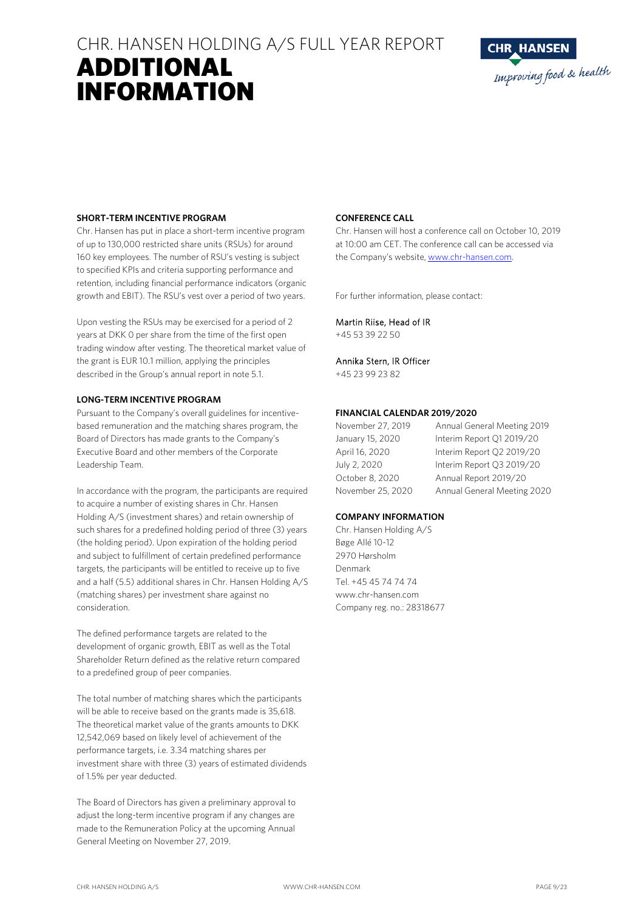# CHR. HANSEN HOLDING A/S FULL YEAR REPORT ADDITIONAL



## **SHORT-TERM INCENTIVE PROGRAM**

INFORMATION

Chr. Hansen has put in place a short-term incentive program of up to 130,000 restricted share units (RSUs) for around 160 key employees. The number of RSU's vesting is subject to specified KPIs and criteria supporting performance and retention, including financial performance indicators (organic growth and EBIT). The RSU's vest over a period of two years.

Upon vesting the RSUs may be exercised for a period of 2 years at DKK 0 per share from the time of the first open trading window after vesting. The theoretical market value of the grant is EUR 10.1 million, applying the principles described in the Group's annual report in note 5.1.

#### **LONG-TERM INCENTIVE PROGRAM**

Pursuant to the Company's overall guidelines for incentivebased remuneration and the matching shares program, the Board of Directors has made grants to the Company's Executive Board and other members of the Corporate Leadership Team.

In accordance with the program, the participants are required to acquire a number of existing shares in Chr. Hansen Holding A/S (investment shares) and retain ownership of such shares for a predefined holding period of three (3) years (the holding period). Upon expiration of the holding period and subject to fulfillment of certain predefined performance targets, the participants will be entitled to receive up to five and a half (5.5) additional shares in Chr. Hansen Holding A/S (matching shares) per investment share against no consideration.

The defined performance targets are related to the development of organic growth, EBIT as well as the Total Shareholder Return defined as the relative return compared to a predefined group of peer companies.

The total number of matching shares which the participants will be able to receive based on the grants made is 35,618. The theoretical market value of the grants amounts to DKK 12,542,069 based on likely level of achievement of the performance targets, i.e. 3.34 matching shares per investment share with three (3) years of estimated dividends of 1.5% per year deducted.

The Board of Directors has given a preliminary approval to adjust the long-term incentive program if any changes are made to the Remuneration Policy at the upcoming Annual General Meeting on November 27, 2019.

### **CONFERENCE CALL**

Chr. Hansen will host a conference call on October 10, 2019 at 10:00 am CET. The conference call can be accessed via the Company's website, www.chr-hansen.com.

For further information, please contact:

Martin Riise, Head of IR

+45 53 39 22 50

## Annika Stern, IR Officer

+45 23 99 23 82

### **FINANCIAL CALENDAR 2019/2020**

| November 27, 2019 | Annual General Meeting 2019 |
|-------------------|-----------------------------|
| January 15, 2020  | Interim Report 01 2019/20   |
| April 16, 2020    | Interim Report Q2 2019/20   |
| July 2, 2020      | Interim Report Q3 2019/20   |
| October 8, 2020   | Annual Report 2019/20       |
| November 25, 2020 | Annual General Meeting 2020 |

### **COMPANY INFORMATION**

Chr. Hansen Holding A/S Bøge Allé 10-12 2970 Hørsholm Denmark Tel. +45 45 74 74 74 www.chr-hansen.com Company reg. no.: 28318677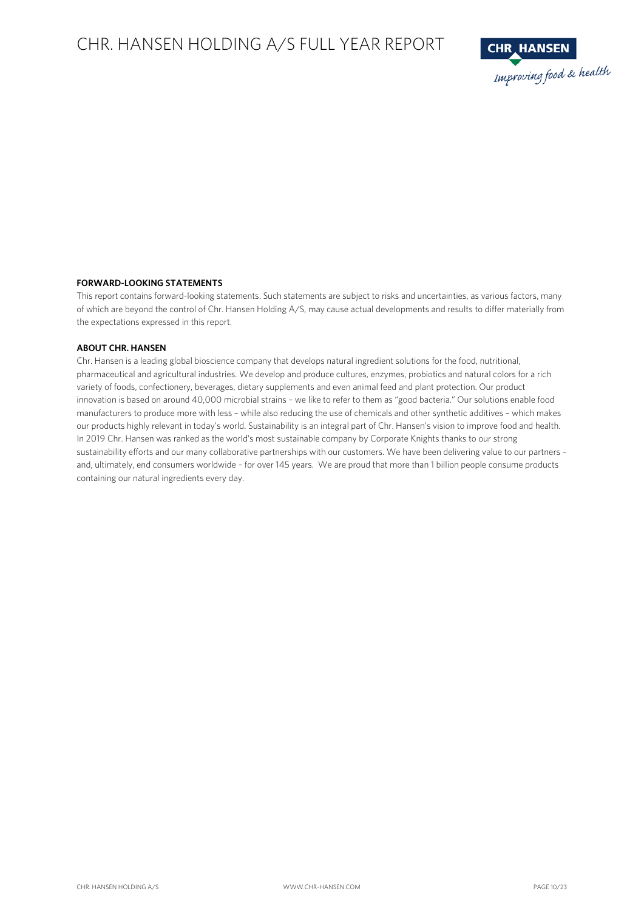# CHR. HANSEN HOLDING A/S FULL YEAR REPORT



### **FORWARD-LOOKING STATEMENTS**

This report contains forward-looking statements. Such statements are subject to risks and uncertainties, as various factors, many of which are beyond the control of Chr. Hansen Holding A/S, may cause actual developments and results to differ materially from the expectations expressed in this report.

#### **ABOUT CHR. HANSEN**

Chr. Hansen is a leading global bioscience company that develops natural ingredient solutions for the food, nutritional, pharmaceutical and agricultural industries. We develop and produce cultures, enzymes, probiotics and natural colors for a rich variety of foods, confectionery, beverages, dietary supplements and even animal feed and plant protection. Our product innovation is based on around 40,000 microbial strains – we like to refer to them as "good bacteria." Our solutions enable food manufacturers to produce more with less – while also reducing the use of chemicals and other synthetic additives – which makes our products highly relevant in today's world. Sustainability is an integral part of Chr. Hansen's vision to improve food and health. In 2019 Chr. Hansen was ranked as the world's most sustainable company by Corporate Knights thanks to our strong sustainability efforts and our many collaborative partnerships with our customers. We have been delivering value to our partners – and, ultimately, end consumers worldwide – for over 145 years. We are proud that more than 1 billion people consume products containing our natural ingredients every day.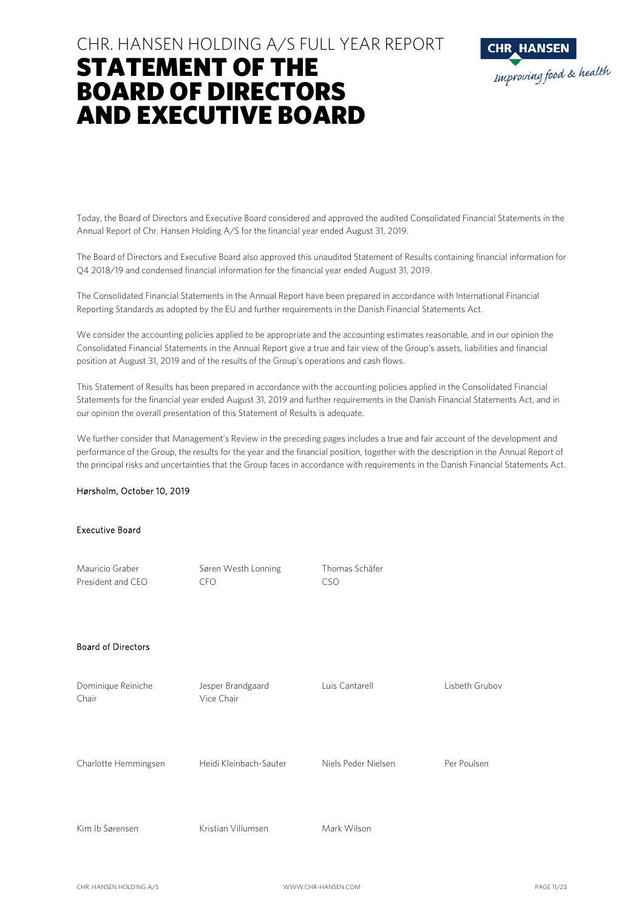# CHR. HANSEN HOLDING A/S FULL YEAR REPORT STATEMENT OF THE BOARD OF DIRECTORS AND EXECUTIVE BOARD



Today, the Board of Directors and Executive Board considered and approved the audited Consolidated Financial Statements in the Annual Report of Chr. Hansen Holding A/S for the financial year ended August 31, 2019.

The Board of Directors and Executive Board also approved this unaudited Statement of Results containing financial information for Q4 2018/19 and condensed financial information for the financial year ended August 31, 2019.

The Consolidated Financial Statements in the Annual Report have been prepared in accordance with International Financial Reporting Standards as adopted by the EU and further requirements in the Danish Financial Statements Act.

We consider the accounting policies applied to be appropriate and the accounting estimates reasonable, and in our opinion the Consolidated Financial Statements in the Annual Report give a true and fair view of the Group's assets, liabilities and financial position at August 31, 2019 and of the results of the Group's operations and cash flows.

This Statement of Results has been prepared in accordance with the accounting policies applied in the Consolidated Financial Statements for the financial year ended August 31, 2019 and further requirements in the Danish Financial Statements Act, and in our opinion the overall presentation of this Statement of Results is adequate.

We further consider that Management's Review in the preceding pages includes a true and fair account of the development and performance of the Group, the results for the year and the financial position, together with the description in the Annual Report of the principal risks and uncertainties that the Group faces in accordance with requirements in the Danish Financial Statements Act.

#### Hørsholm, October 10, 2019

### Executive Board

| Mauricio Graber<br>President and CEO | Søren Westh Lonning<br><b>CFO</b> | Thomas Schäfer<br><b>CSO</b> |                |
|--------------------------------------|-----------------------------------|------------------------------|----------------|
| <b>Board of Directors</b>            |                                   |                              |                |
| Dominique Reiniche<br>Chair          | Jesper Brandgaard<br>Vice Chair   | Luis Cantarell               | Lisbeth Grubov |
| Charlotte Hemmingsen                 | Heidi Kleinbach-Sauter            | Niels Peder Nielsen          | Per Poulsen    |
| Kim Ib Sørensen                      | Kristian Villumsen                | Mark Wilson                  |                |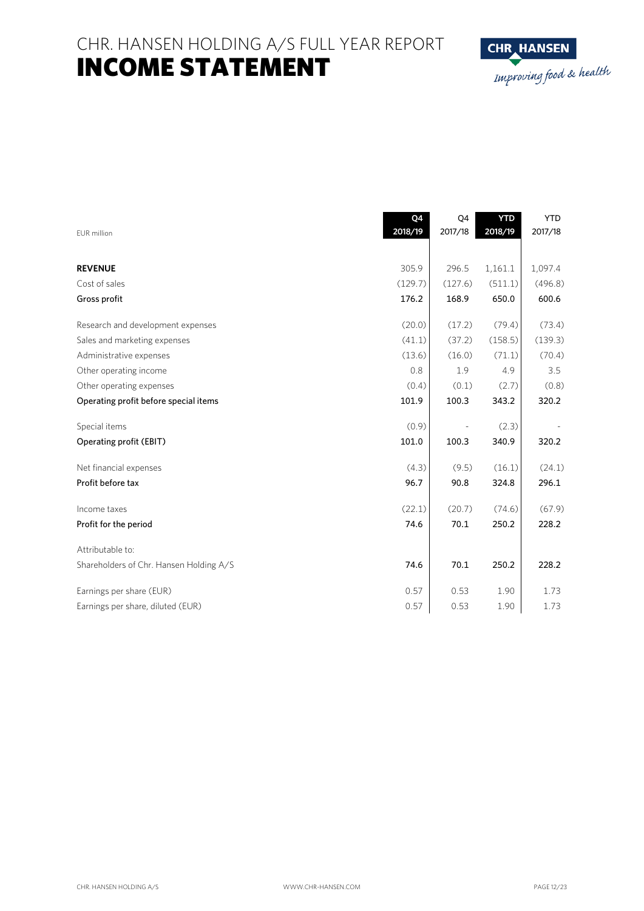CHR. HANSEN HOLDING A/S FULL YEAR REPORT INCOME STATEMENT



|                                         | Q4      | Q4      | <b>YTD</b> | <b>YTD</b> |
|-----------------------------------------|---------|---------|------------|------------|
| EUR million                             | 2018/19 | 2017/18 | 2018/19    | 2017/18    |
|                                         |         |         |            |            |
| <b>REVENUE</b>                          | 305.9   | 296.5   | 1,161.1    | 1,097.4    |
| Cost of sales                           | (129.7) | (127.6) | (511.1)    | (496.8)    |
| Gross profit                            | 176.2   | 168.9   | 650.0      | 600.6      |
| Research and development expenses       | (20.0)  | (17.2)  | (79.4)     | (73.4)     |
| Sales and marketing expenses            | (41.1)  | (37.2)  | (158.5)    | (139.3)    |
| Administrative expenses                 | (13.6)  | (16.0)  | (71.1)     | (70.4)     |
| Other operating income                  | 0.8     | 1.9     | 4.9        | 3.5        |
| Other operating expenses                | (0.4)   | (0.1)   | (2.7)      | (0.8)      |
| Operating profit before special items   | 101.9   | 100.3   | 343.2      | 320.2      |
| Special items                           | (0.9)   |         | (2.3)      |            |
| Operating profit (EBIT)                 | 101.0   | 100.3   | 340.9      | 320.2      |
|                                         |         |         |            |            |
| Net financial expenses                  | (4.3)   | (9.5)   | (16.1)     | (24.1)     |
| Profit before tax                       | 96.7    | 90.8    | 324.8      | 296.1      |
| Income taxes                            | (22.1)  | (20.7)  | (74.6)     | (67.9)     |
| Profit for the period                   | 74.6    | 70.1    | 250.2      | 228.2      |
| Attributable to:                        |         |         |            |            |
| Shareholders of Chr. Hansen Holding A/S | 74.6    | 70.1    | 250.2      | 228.2      |
|                                         |         |         |            |            |
| Earnings per share (EUR)                | 0.57    | 0.53    | 1.90       | 1.73       |
| Earnings per share, diluted (EUR)       | 0.57    | 0.53    | 1.90       | 1.73       |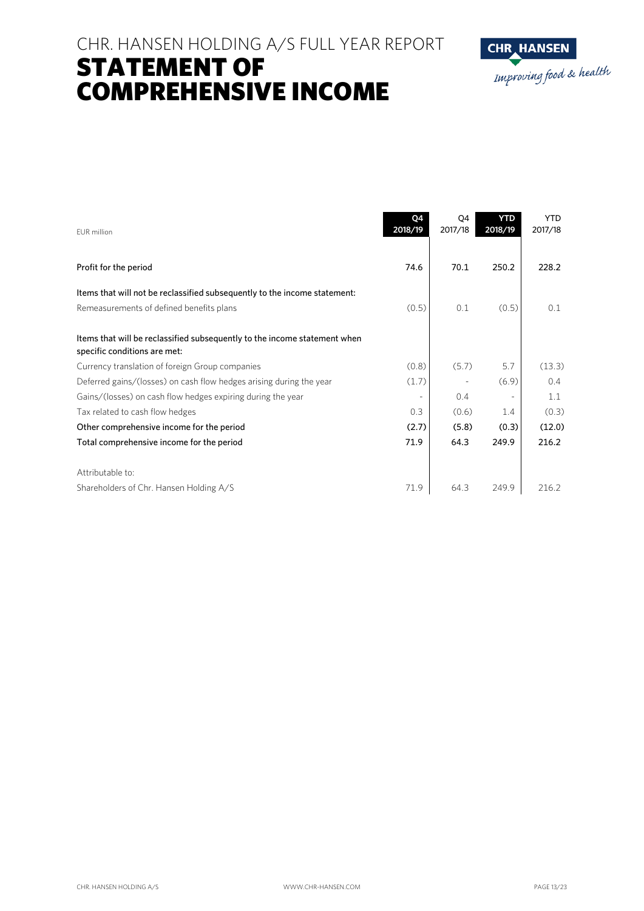# CHR. HANSEN HOLDING A/S FULL YEAR REPORT STATEMENT OF COMPREHENSIVE INCOME



| <b>EUR</b> million                                                                                        | Q4<br>2018/19 | Q4<br>2017/18 | <b>YTD</b><br>2018/19 | <b>YTD</b><br>2017/18 |
|-----------------------------------------------------------------------------------------------------------|---------------|---------------|-----------------------|-----------------------|
| Profit for the period                                                                                     | 74.6          | 70.1          | 250.2                 | 228.2                 |
| Items that will not be reclassified subsequently to the income statement:                                 |               |               |                       |                       |
| Remeasurements of defined benefits plans                                                                  | (0.5)         | 0.1           | (0.5)                 | 0.1                   |
| Items that will be reclassified subsequently to the income statement when<br>specific conditions are met: |               |               |                       |                       |
| Currency translation of foreign Group companies                                                           | (0.8)         | (5.7)         | 5.7                   | (13.3)                |
| Deferred gains/(losses) on cash flow hedges arising during the year                                       | (1.7)         |               | (6.9)                 | 0.4                   |
| Gains/(losses) on cash flow hedges expiring during the year                                               |               | 0.4           |                       | 1.1                   |
| Tax related to cash flow hedges                                                                           | 0.3           | (0.6)         | 1.4                   | (0.3)                 |
| Other comprehensive income for the period                                                                 | (2.7)         | (5.8)         | (0.3)                 | (12.0)                |
| Total comprehensive income for the period                                                                 | 71.9          | 64.3          | 249.9                 | 216.2                 |
| Attributable to:                                                                                          |               |               |                       |                       |
| Shareholders of Chr. Hansen Holding A/S                                                                   | 71.9          | 64.3          | 249.9                 | 216.2                 |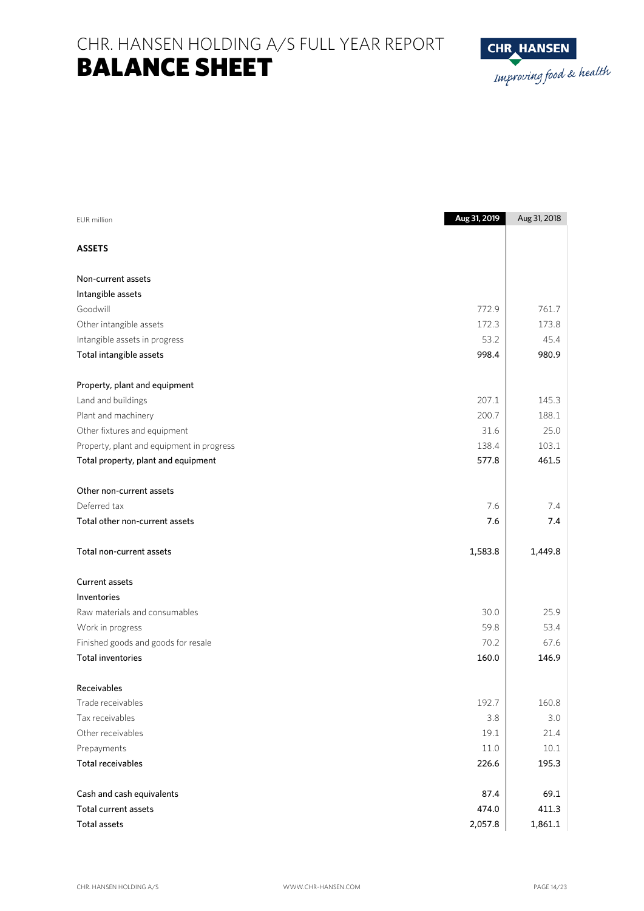CHR. HANSEN HOLDING A/S FULL YEAR REPORT BALANCE SHEET



| <b>ASSETS</b><br>Non-current assets<br>Intangible assets<br>Goodwill<br>761.7<br>772.9<br>172.3<br>173.8<br>Other intangible assets<br>45.4<br>53.2<br>Intangible assets in progress<br>Total intangible assets<br>998.4<br>980.9<br>Property, plant and equipment<br>Land and buildings<br>207.1<br>145.3<br>Plant and machinery<br>200.7<br>188.1<br>25.0<br>Other fixtures and equipment<br>31.6<br>103.1<br>Property, plant and equipment in progress<br>138.4<br>461.5<br>577.8<br>Total property, plant and equipment<br>Other non-current assets<br>Deferred tax<br>7.6<br>7.4<br>Total other non-current assets<br>7.6<br>7.4<br>Total non-current assets<br>1,583.8<br>1,449.8<br><b>Current assets</b><br>Inventories<br>Raw materials and consumables<br>30.0<br>25.9<br>59.8<br>53.4<br>Work in progress<br>Finished goods and goods for resale<br>70.2<br>67.6<br><b>Total inventories</b><br>160.0<br>146.9<br>Receivables<br>Trade receivables<br>192.7<br>160.8<br>3.0<br>Tax receivables<br>3.8<br>Other receivables<br>21.4<br>19.1<br>$10.1\,$<br>Prepayments<br>11.0<br><b>Total receivables</b><br>195.3<br>226.6<br>69.1<br>Cash and cash equivalents<br>87.4<br>474.0<br>411.3<br>Total current assets | EUR million         | Aug 31, 2019 | Aug 31, 2018 |
|-------------------------------------------------------------------------------------------------------------------------------------------------------------------------------------------------------------------------------------------------------------------------------------------------------------------------------------------------------------------------------------------------------------------------------------------------------------------------------------------------------------------------------------------------------------------------------------------------------------------------------------------------------------------------------------------------------------------------------------------------------------------------------------------------------------------------------------------------------------------------------------------------------------------------------------------------------------------------------------------------------------------------------------------------------------------------------------------------------------------------------------------------------------------------------------------------------------------------------|---------------------|--------------|--------------|
|                                                                                                                                                                                                                                                                                                                                                                                                                                                                                                                                                                                                                                                                                                                                                                                                                                                                                                                                                                                                                                                                                                                                                                                                                               |                     |              |              |
|                                                                                                                                                                                                                                                                                                                                                                                                                                                                                                                                                                                                                                                                                                                                                                                                                                                                                                                                                                                                                                                                                                                                                                                                                               |                     |              |              |
|                                                                                                                                                                                                                                                                                                                                                                                                                                                                                                                                                                                                                                                                                                                                                                                                                                                                                                                                                                                                                                                                                                                                                                                                                               |                     |              |              |
|                                                                                                                                                                                                                                                                                                                                                                                                                                                                                                                                                                                                                                                                                                                                                                                                                                                                                                                                                                                                                                                                                                                                                                                                                               |                     |              |              |
|                                                                                                                                                                                                                                                                                                                                                                                                                                                                                                                                                                                                                                                                                                                                                                                                                                                                                                                                                                                                                                                                                                                                                                                                                               |                     |              |              |
|                                                                                                                                                                                                                                                                                                                                                                                                                                                                                                                                                                                                                                                                                                                                                                                                                                                                                                                                                                                                                                                                                                                                                                                                                               |                     |              |              |
|                                                                                                                                                                                                                                                                                                                                                                                                                                                                                                                                                                                                                                                                                                                                                                                                                                                                                                                                                                                                                                                                                                                                                                                                                               |                     |              |              |
|                                                                                                                                                                                                                                                                                                                                                                                                                                                                                                                                                                                                                                                                                                                                                                                                                                                                                                                                                                                                                                                                                                                                                                                                                               |                     |              |              |
|                                                                                                                                                                                                                                                                                                                                                                                                                                                                                                                                                                                                                                                                                                                                                                                                                                                                                                                                                                                                                                                                                                                                                                                                                               |                     |              |              |
|                                                                                                                                                                                                                                                                                                                                                                                                                                                                                                                                                                                                                                                                                                                                                                                                                                                                                                                                                                                                                                                                                                                                                                                                                               |                     |              |              |
|                                                                                                                                                                                                                                                                                                                                                                                                                                                                                                                                                                                                                                                                                                                                                                                                                                                                                                                                                                                                                                                                                                                                                                                                                               |                     |              |              |
|                                                                                                                                                                                                                                                                                                                                                                                                                                                                                                                                                                                                                                                                                                                                                                                                                                                                                                                                                                                                                                                                                                                                                                                                                               |                     |              |              |
|                                                                                                                                                                                                                                                                                                                                                                                                                                                                                                                                                                                                                                                                                                                                                                                                                                                                                                                                                                                                                                                                                                                                                                                                                               |                     |              |              |
|                                                                                                                                                                                                                                                                                                                                                                                                                                                                                                                                                                                                                                                                                                                                                                                                                                                                                                                                                                                                                                                                                                                                                                                                                               |                     |              |              |
|                                                                                                                                                                                                                                                                                                                                                                                                                                                                                                                                                                                                                                                                                                                                                                                                                                                                                                                                                                                                                                                                                                                                                                                                                               |                     |              |              |
|                                                                                                                                                                                                                                                                                                                                                                                                                                                                                                                                                                                                                                                                                                                                                                                                                                                                                                                                                                                                                                                                                                                                                                                                                               |                     |              |              |
|                                                                                                                                                                                                                                                                                                                                                                                                                                                                                                                                                                                                                                                                                                                                                                                                                                                                                                                                                                                                                                                                                                                                                                                                                               |                     |              |              |
|                                                                                                                                                                                                                                                                                                                                                                                                                                                                                                                                                                                                                                                                                                                                                                                                                                                                                                                                                                                                                                                                                                                                                                                                                               |                     |              |              |
|                                                                                                                                                                                                                                                                                                                                                                                                                                                                                                                                                                                                                                                                                                                                                                                                                                                                                                                                                                                                                                                                                                                                                                                                                               |                     |              |              |
|                                                                                                                                                                                                                                                                                                                                                                                                                                                                                                                                                                                                                                                                                                                                                                                                                                                                                                                                                                                                                                                                                                                                                                                                                               |                     |              |              |
|                                                                                                                                                                                                                                                                                                                                                                                                                                                                                                                                                                                                                                                                                                                                                                                                                                                                                                                                                                                                                                                                                                                                                                                                                               |                     |              |              |
|                                                                                                                                                                                                                                                                                                                                                                                                                                                                                                                                                                                                                                                                                                                                                                                                                                                                                                                                                                                                                                                                                                                                                                                                                               |                     |              |              |
|                                                                                                                                                                                                                                                                                                                                                                                                                                                                                                                                                                                                                                                                                                                                                                                                                                                                                                                                                                                                                                                                                                                                                                                                                               |                     |              |              |
|                                                                                                                                                                                                                                                                                                                                                                                                                                                                                                                                                                                                                                                                                                                                                                                                                                                                                                                                                                                                                                                                                                                                                                                                                               |                     |              |              |
|                                                                                                                                                                                                                                                                                                                                                                                                                                                                                                                                                                                                                                                                                                                                                                                                                                                                                                                                                                                                                                                                                                                                                                                                                               |                     |              |              |
|                                                                                                                                                                                                                                                                                                                                                                                                                                                                                                                                                                                                                                                                                                                                                                                                                                                                                                                                                                                                                                                                                                                                                                                                                               |                     |              |              |
|                                                                                                                                                                                                                                                                                                                                                                                                                                                                                                                                                                                                                                                                                                                                                                                                                                                                                                                                                                                                                                                                                                                                                                                                                               |                     |              |              |
|                                                                                                                                                                                                                                                                                                                                                                                                                                                                                                                                                                                                                                                                                                                                                                                                                                                                                                                                                                                                                                                                                                                                                                                                                               |                     |              |              |
|                                                                                                                                                                                                                                                                                                                                                                                                                                                                                                                                                                                                                                                                                                                                                                                                                                                                                                                                                                                                                                                                                                                                                                                                                               |                     |              |              |
|                                                                                                                                                                                                                                                                                                                                                                                                                                                                                                                                                                                                                                                                                                                                                                                                                                                                                                                                                                                                                                                                                                                                                                                                                               |                     |              |              |
|                                                                                                                                                                                                                                                                                                                                                                                                                                                                                                                                                                                                                                                                                                                                                                                                                                                                                                                                                                                                                                                                                                                                                                                                                               |                     |              |              |
|                                                                                                                                                                                                                                                                                                                                                                                                                                                                                                                                                                                                                                                                                                                                                                                                                                                                                                                                                                                                                                                                                                                                                                                                                               |                     |              |              |
|                                                                                                                                                                                                                                                                                                                                                                                                                                                                                                                                                                                                                                                                                                                                                                                                                                                                                                                                                                                                                                                                                                                                                                                                                               | <b>Total assets</b> | 2,057.8      | 1,861.1      |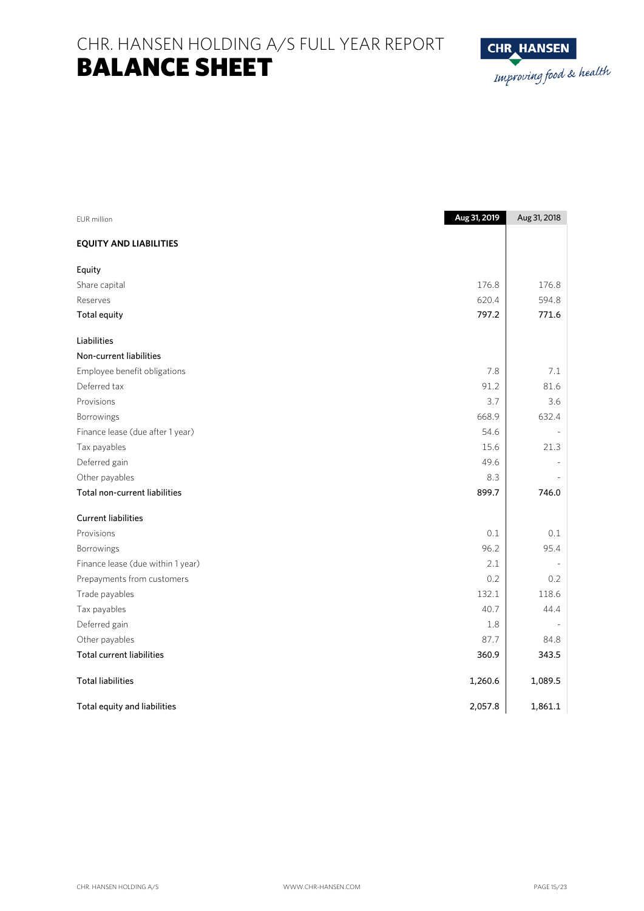CHR. HANSEN HOLDING A/S FULL YEAR REPORT BALANCE SHEET



| EUR million                       | Aug 31, 2019 | Aug 31, 2018 |
|-----------------------------------|--------------|--------------|
| <b>EQUITY AND LIABILITIES</b>     |              |              |
| Equity                            |              |              |
| Share capital                     | 176.8        | 176.8        |
| Reserves                          | 620.4        | 594.8        |
| <b>Total equity</b>               | 797.2        | 771.6        |
| Liabilities                       |              |              |
| Non-current liabilities           |              |              |
| Employee benefit obligations      | 7.8          | 7.1          |
| Deferred tax                      | 91.2         | 81.6         |
| Provisions                        | 3.7          | 3.6          |
| Borrowings                        | 668.9        | 632.4        |
| Finance lease (due after 1 year)  | 54.6         |              |
| Tax payables                      | 15.6         | 21.3         |
| Deferred gain                     | 49.6         |              |
| Other payables                    | 8.3          |              |
| Total non-current liabilities     | 899.7        | 746.0        |
| <b>Current liabilities</b>        |              |              |
| Provisions                        | 0.1          | 0.1          |
| Borrowings                        | 96.2         | 95.4         |
| Finance lease (due within 1 year) | 2.1          |              |
| Prepayments from customers        | 0.2          | 0.2          |
| Trade payables                    | 132.1        | 118.6        |
| Tax payables                      | 40.7         | 44.4         |
| Deferred gain                     | 1.8          |              |
| Other payables                    | 87.7         | 84.8         |
| <b>Total current liabilities</b>  | 360.9        | 343.5        |
| <b>Total liabilities</b>          | 1,260.6      | 1,089.5      |
| Total equity and liabilities      | 2,057.8      | 1,861.1      |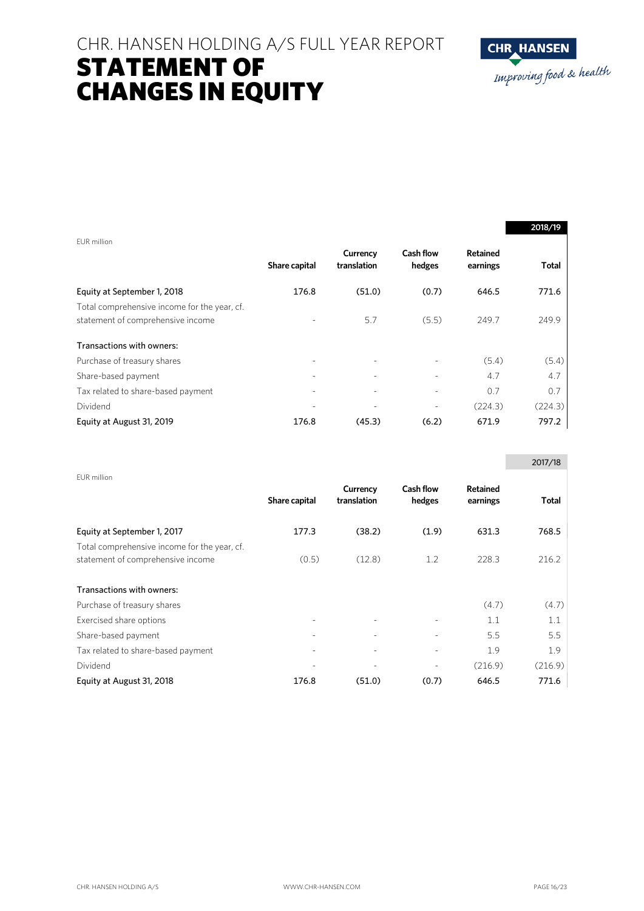# CHR. HANSEN HOLDING A/S FULL YEAR REPORT STATEMENT OF CHANGES IN EQUITY



|                                                                                   |                          |                         |                            |                             | 2018/19 |
|-----------------------------------------------------------------------------------|--------------------------|-------------------------|----------------------------|-----------------------------|---------|
| EUR million                                                                       | Share capital            | Currency<br>translation | <b>Cash flow</b><br>hedges | <b>Retained</b><br>earnings | Total   |
| Equity at September 1, 2018                                                       | 176.8                    | (51.0)                  | (0.7)                      | 646.5                       | 771.6   |
| Total comprehensive income for the year, cf.<br>statement of comprehensive income |                          | 5.7                     | (5.5)                      | 249.7                       | 249.9   |
| Transactions with owners:                                                         |                          |                         |                            |                             |         |
| Purchase of treasury shares                                                       |                          |                         |                            | (5.4)                       | (5.4)   |
| Share-based payment                                                               |                          |                         |                            | 4.7                         | 4.7     |
| Tax related to share-based payment                                                | $\overline{\phantom{a}}$ | ٠                       |                            | 0.7                         | 0.7     |
| Dividend                                                                          |                          |                         |                            | (224.3)                     | (224.3) |
| Equity at August 31, 2019                                                         | 176.8                    | (45.3)                  | (6.2)                      | 671.9                       | 797.2   |

|                                                                                   |               |                         |                            |                      | 2017/18 |
|-----------------------------------------------------------------------------------|---------------|-------------------------|----------------------------|----------------------|---------|
| EUR million                                                                       | Share capital | Currency<br>translation | <b>Cash flow</b><br>hedges | Retained<br>earnings | Total   |
| Equity at September 1, 2017                                                       | 177.3         | (38.2)                  | (1.9)                      | 631.3                | 768.5   |
| Total comprehensive income for the year, cf.<br>statement of comprehensive income | (0.5)         | (12.8)                  | 1.2                        | 228.3                | 216.2   |
| Transactions with owners:                                                         |               |                         |                            |                      |         |
| Purchase of treasury shares                                                       |               |                         |                            | (4.7)                | (4.7)   |
| Exercised share options                                                           |               |                         |                            | 1.1                  | 1.1     |
| Share-based payment                                                               |               |                         |                            | 5.5                  | 5.5     |
| Tax related to share-based payment                                                |               |                         |                            | 1.9                  | 1.9     |
| Dividend                                                                          |               |                         |                            | (216.9)              | (216.9) |
| Equity at August 31, 2018                                                         | 176.8         | (51.0)                  | (0.7)                      | 646.5                | 771.6   |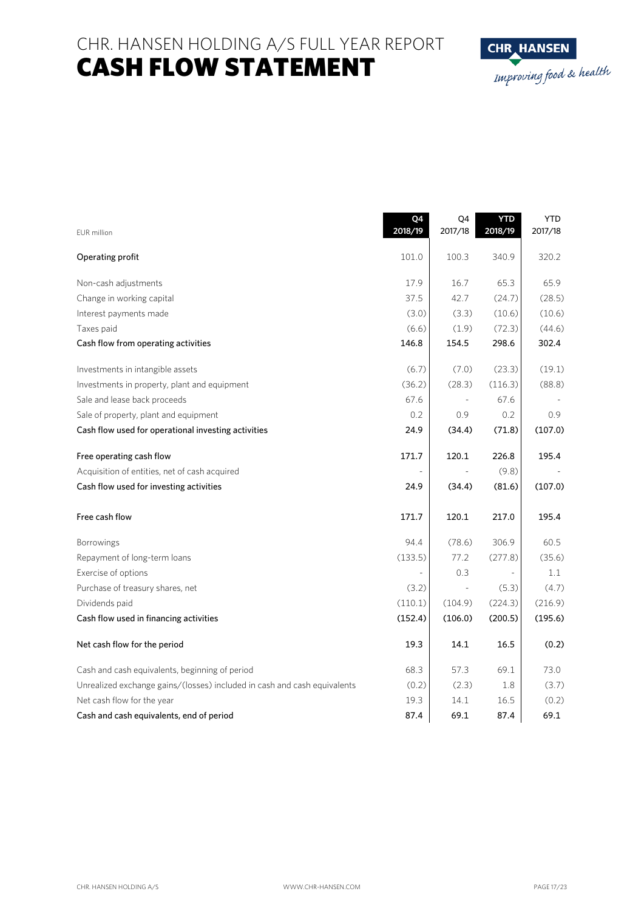CHR. HANSEN HOLDING A/S FULL YEAR REPORT CASH FLOW STATEMENT



|                                                                          | Q4<br>2018/19 | Q4<br>2017/18 | <b>YTD</b><br>2018/19 | <b>YTD</b><br>2017/18 |
|--------------------------------------------------------------------------|---------------|---------------|-----------------------|-----------------------|
| <b>EUR</b> million                                                       |               |               |                       |                       |
| Operating profit                                                         | 101.0         | 100.3         | 340.9                 | 320.2                 |
| Non-cash adjustments                                                     | 17.9          | 16.7          | 65.3                  | 65.9                  |
| Change in working capital                                                | 37.5          | 42.7          | (24.7)                | (28.5)                |
| Interest payments made                                                   | (3.0)         | (3.3)         | (10.6)                | (10.6)                |
| Taxes paid                                                               | (6.6)         | (1.9)         | (72.3)                | (44.6)                |
| Cash flow from operating activities                                      | 146.8         | 154.5         | 298.6                 | 302.4                 |
| Investments in intangible assets                                         | (6.7)         | (7.0)         | (23.3)                | (19.1)                |
| Investments in property, plant and equipment                             | (36.2)        | (28.3)        | (116.3)               | (88.8)                |
| Sale and lease back proceeds                                             | 67.6          |               | 67.6                  |                       |
| Sale of property, plant and equipment                                    | 0.2           | 0.9           | 0.2                   | 0.9                   |
| Cash flow used for operational investing activities                      | 24.9          | (34.4)        | (71.8)                | (107.0)               |
| Free operating cash flow                                                 | 171.7         | 120.1         | 226.8                 | 195.4                 |
| Acquisition of entities, net of cash acquired                            |               |               | (9.8)                 |                       |
| Cash flow used for investing activities                                  | 24.9          | (34.4)        | (81.6)                | (107.0)               |
| Free cash flow                                                           | 171.7         | 120.1         | 217.0                 | 195.4                 |
| <b>Borrowings</b>                                                        | 94.4          | (78.6)        | 306.9                 | 60.5                  |
| Repayment of long-term loans                                             | (133.5)       | 77.2          | (277.8)               | (35.6)                |
| Exercise of options                                                      |               | 0.3           |                       | 1.1                   |
| Purchase of treasury shares, net                                         | (3.2)         |               | (5.3)                 | (4.7)                 |
| Dividends paid                                                           | (110.1)       | (104.9)       | (224.3)               | (216.9)               |
| Cash flow used in financing activities                                   | (152.4)       | (106.0)       | (200.5)               | (195.6)               |
| Net cash flow for the period                                             | 19.3          | 14.1          | 16.5                  | (0.2)                 |
| Cash and cash equivalents, beginning of period                           | 68.3          | 57.3          | 69.1                  | 73.0                  |
| Unrealized exchange gains/(losses) included in cash and cash equivalents | (0.2)         | (2.3)         | 1.8                   | (3.7)                 |
| Net cash flow for the year                                               | 19.3          | 14.1          | 16.5                  | (0.2)                 |
| Cash and cash equivalents, end of period                                 | 87.4          | 69.1          | 87.4                  | 69.1                  |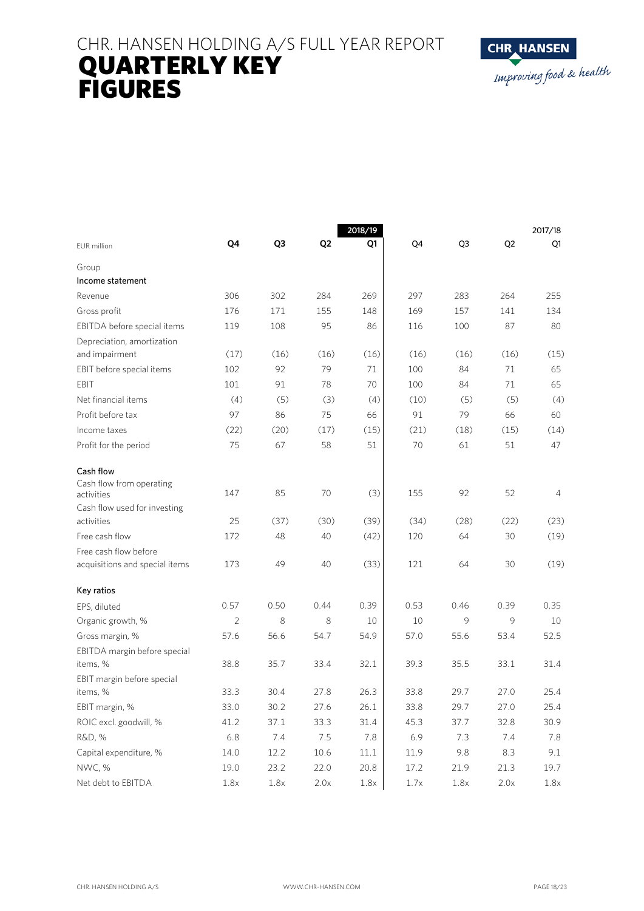# CHR. HANSEN HOLDING A/S FULL YEAR REPORT QUARTERLY KEY FIGURES



|                                        |                |      |                | 2018/19 |      |      |                | 2017/18 |  |
|----------------------------------------|----------------|------|----------------|---------|------|------|----------------|---------|--|
| <b>EUR</b> million                     | Q4             | Q3   | Q <sub>2</sub> | Q1      | Q4   | Q3   | Q <sub>2</sub> | Q1      |  |
| Group                                  |                |      |                |         |      |      |                |         |  |
| Income statement                       |                |      |                |         |      |      |                |         |  |
| Revenue                                | 306            | 302  | 284            | 269     | 297  | 283  | 264            | 255     |  |
| Gross profit                           | 176            | 171  | 155            | 148     | 169  | 157  | 141            | 134     |  |
| EBITDA before special items            | 119            | 108  | 95             | 86      | 116  | 100  | 87             | 80      |  |
| Depreciation, amortization             |                |      |                |         |      |      |                |         |  |
| and impairment                         | (17)           | (16) | (16)           | (16)    | (16) | (16) | (16)           | (15)    |  |
| EBIT before special items              | 102            | 92   | 79             | 71      | 100  | 84   | 71             | 65      |  |
| EBIT                                   | 101            | 91   | 78             | 70      | 100  | 84   | 71             | 65      |  |
| Net financial items                    | (4)            | (5)  | (3)            | (4)     | (10) | (5)  | (5)            | (4)     |  |
| Profit before tax                      | 97             | 86   | 75             | 66      | 91   | 79   | 66             | 60      |  |
| Income taxes                           | (22)           | (20) | (17)           | (15)    | (21) | (18) | (15)           | (14)    |  |
| Profit for the period                  | 75             | 67   | 58             | 51      | 70   | 61   | 51             | 47      |  |
| Cash flow                              |                |      |                |         |      |      |                |         |  |
| Cash flow from operating<br>activities | 147            | 85   | 70             | (3)     | 155  | 92   | 52             | 4       |  |
| Cash flow used for investing           |                |      |                |         |      |      |                |         |  |
| activities                             | 25             | (37) | (30)           | (39)    | (34) | (28) | (22)           | (23)    |  |
| Free cash flow                         | 172            | 48   | 40             | (42)    | 120  | 64   | 30             | (19)    |  |
| Free cash flow before                  |                |      |                |         |      |      |                |         |  |
| acquisitions and special items         | 173            | 49   | 40             | (33)    | 121  | 64   | 30             | (19)    |  |
| Key ratios                             |                |      |                |         |      |      |                |         |  |
| EPS, diluted                           | 0.57           | 0.50 | 0.44           | 0.39    | 0.53 | 0.46 | 0.39           | 0.35    |  |
| Organic growth, %                      | $\overline{2}$ | 8    | 8              | 10      | 10   | 9    | 9              | 10      |  |
| Gross margin, %                        | 57.6           | 56.6 | 54.7           | 54.9    | 57.0 | 55.6 | 53.4           | 52.5    |  |
| EBITDA margin before special           |                |      |                |         |      |      |                |         |  |
| items, %                               | 38.8           | 35.7 | 33.4           | 32.1    | 39.3 | 35.5 | 33.1           | 31.4    |  |
| EBIT margin before special             |                |      |                |         |      |      |                |         |  |
| items, %                               | 33.3           | 30.4 | 27.8           | 26.3    | 33.8 | 29.7 | 27.0           | 25.4    |  |
| EBIT margin, %                         | 33.0           | 30.2 | 27.6           | 26.1    | 33.8 | 29.7 | 27.0           | 25.4    |  |
| ROIC excl. goodwill, %                 | 41.2           | 37.1 | 33.3           | 31.4    | 45.3 | 37.7 | 32.8           | 30.9    |  |
| R&D, %                                 | 6.8            | 7.4  | 7.5            | 7.8     | 6.9  | 7.3  | 7.4            | 7.8     |  |
| Capital expenditure, %                 | 14.0           | 12.2 | 10.6           | 11.1    | 11.9 | 9.8  | 8.3            | 9.1     |  |
| NWC, %                                 | 19.0           | 23.2 | 22.0           | 20.8    | 17.2 | 21.9 | 21.3           | 19.7    |  |
| Net debt to EBITDA                     | 1.8x           | 1.8x | 2.0x           | 1.8x    | 1.7x | 1.8x | 2.0x           | 1.8x    |  |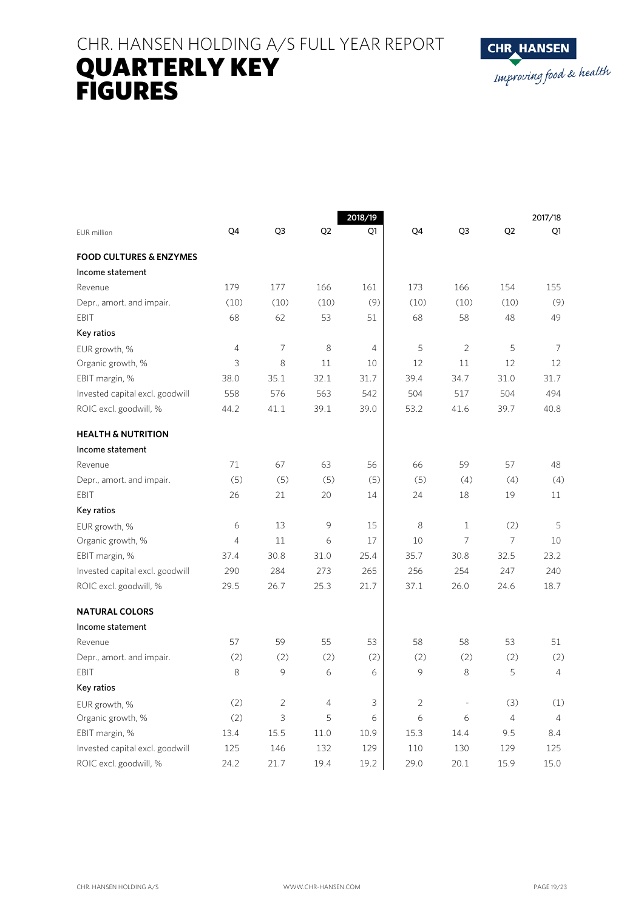# CHR. HANSEN HOLDING A/S FULL YEAR REPORT QUARTERLY KEY FIGURES



|                                    |            |                | 2018/19        |                |                |                | 2017/18        |                |  |
|------------------------------------|------------|----------------|----------------|----------------|----------------|----------------|----------------|----------------|--|
| EUR million                        | Q4         | Q3             | Q <sub>2</sub> | Q1             | Q4             | Q3             | Q <sub>2</sub> | Q1             |  |
| <b>FOOD CULTURES &amp; ENZYMES</b> |            |                |                |                |                |                |                |                |  |
| Income statement                   |            |                |                |                |                |                |                |                |  |
| Revenue                            | 179        | 177            | 166            | 161            | 173            | 166            | 154            | 155            |  |
| Depr., amort. and impair.          | (10)       | (10)           | (10)           | (9)            | (10)           | (10)           | (10)           | (9)            |  |
| EBIT                               | 68         | 62             | 53             | 51             | 68             | 58             | 48             | 49             |  |
| Key ratios                         |            |                |                |                |                |                |                |                |  |
| EUR growth, %                      | $\sqrt{4}$ | $\overline{7}$ | 8              | $\overline{4}$ | 5              | $\overline{2}$ | 5              | $\overline{7}$ |  |
| Organic growth, %                  | 3          | 8              | 11             | 10             | 12             | 11             | 12             | 12             |  |
| EBIT margin, %                     | 38.0       | 35.1           | 32.1           | 31.7           | 39.4           | 34.7           | 31.0           | 31.7           |  |
| Invested capital excl. goodwill    | 558        | 576            | 563            | 542            | 504            | 517            | 504            | 494            |  |
| ROIC excl. goodwill, %             | 44.2       | 41.1           | 39.1           | 39.0           | 53.2           | 41.6           | 39.7           | 40.8           |  |
| <b>HEALTH &amp; NUTRITION</b>      |            |                |                |                |                |                |                |                |  |
| Income statement                   |            |                |                |                |                |                |                |                |  |
| Revenue                            | 71         | 67             | 63             | 56             | 66             | 59             | 57             | 48             |  |
| Depr., amort. and impair.          | (5)        | (5)            | (5)            | (5)            | (5)            | (4)            | (4)            | (4)            |  |
| EBIT                               | 26         | 21             | 20             | 14             | 24             | 18             | 19             | 11             |  |
| Key ratios                         |            |                |                |                |                |                |                |                |  |
| EUR growth, %                      | 6          | 13             | $\circ$        | 15             | 8              | $\mathbf{1}$   | (2)            | 5              |  |
| Organic growth, %                  | 4          | 11             | 6              | 17             | 10             | $\overline{7}$ | $\overline{7}$ | 10             |  |
| EBIT margin, %                     | 37.4       | 30.8           | 31.0           | 25.4           | 35.7           | 30.8           | 32.5           | 23.2           |  |
| Invested capital excl. goodwill    | 290        | 284            | 273            | 265            | 256            | 254            | 247            | 240            |  |
| ROIC excl. goodwill, %             | 29.5       | 26.7           | 25.3           | 21.7           | 37.1           | 26.0           | 24.6           | 18.7           |  |
| <b>NATURAL COLORS</b>              |            |                |                |                |                |                |                |                |  |
| Income statement                   |            |                |                |                |                |                |                |                |  |
| Revenue                            | 57         | 59             | 55             | 53             | 58             | 58             | 53             | 51             |  |
| Depr., amort. and impair.          | (2)        | (2)            | (2)            | (2)            | (2)            | (2)            | (2)            | (2)            |  |
| EBIT                               | 8          | 9              | 6              | 6              | 9              | 8              | 5              | $\overline{4}$ |  |
| Key ratios                         |            |                |                |                |                |                |                |                |  |
| EUR growth, %                      | (2)        | $\overline{2}$ | $\overline{4}$ | 3              | $\overline{2}$ |                | (3)            | (1)            |  |
| Organic growth, %                  | (2)        | 3              | 5              | 6              | 6              | 6              | $\overline{4}$ | $\overline{4}$ |  |
| EBIT margin, %                     | 13.4       | 15.5           | 11.0           | 10.9           | 15.3           | 14.4           | 9.5            | 8.4            |  |
| Invested capital excl. goodwill    | 125        | 146            | 132            | 129            | 110            | 130            | 129            | 125            |  |
| ROIC excl. goodwill, %             | 24.2       | 21.7           | 19.4           | 19.2           | 29.0           | 20.1           | 15.9           | 15.0           |  |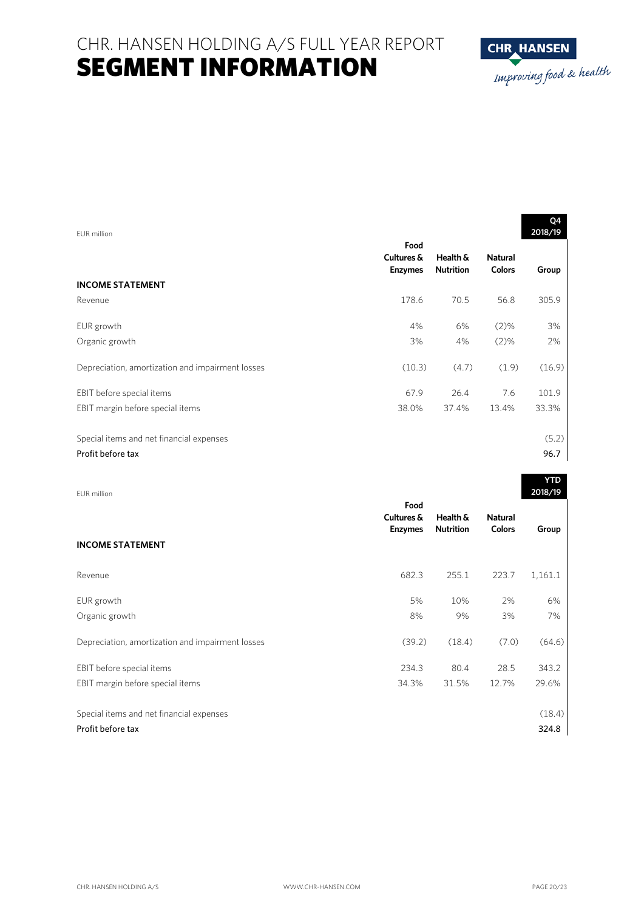

| EUR million                                      |                                      |                              |                                 | Q4<br>2018/19 |
|--------------------------------------------------|--------------------------------------|------------------------------|---------------------------------|---------------|
|                                                  | Food<br>Cultures &<br><b>Enzymes</b> | Health &<br><b>Nutrition</b> | <b>Natural</b><br><b>Colors</b> | Group         |
| <b>INCOME STATEMENT</b>                          |                                      |                              |                                 |               |
| Revenue                                          | 178.6                                | 70.5                         | 56.8                            | 305.9         |
| EUR growth                                       | 4%                                   | 6%                           | $(2)\%$                         | 3%            |
| Organic growth                                   | 3%                                   | 4%                           | $(2)\%$                         | 2%            |
| Depreciation, amortization and impairment losses | (10.3)                               | (4.7)                        | (1.9)                           | (16.9)        |
| EBIT before special items                        | 67.9                                 | 26.4                         | 7.6                             | 101.9         |
| EBIT margin before special items                 | 38.0%                                | 37.4%                        | 13.4%                           | 33.3%         |
| Special items and net financial expenses         |                                      |                              |                                 | (5.2)         |
| Profit before tax                                |                                      |                              |                                 | 96.7          |

| EUR million                                      |                    |                              |                                 | 2018/19 |
|--------------------------------------------------|--------------------|------------------------------|---------------------------------|---------|
|                                                  | Food<br>Cultures & | Health &<br><b>Nutrition</b> | <b>Natural</b><br><b>Colors</b> |         |
| <b>INCOME STATEMENT</b>                          | <b>Enzymes</b>     |                              |                                 | Group   |
| Revenue                                          | 682.3              | 255.1                        | 223.7                           | 1,161.1 |
| EUR growth                                       | 5%                 | 10%                          | 2%                              | 6%      |
| Organic growth                                   | 8%                 | 9%                           | 3%                              | 7%      |
| Depreciation, amortization and impairment losses | (39.2)             | (18.4)                       | (7.0)                           | (64.6)  |
| EBIT before special items                        | 234.3              | 80.4                         | 28.5                            | 343.2   |
| EBIT margin before special items                 | 34.3%              | 31.5%                        | 12.7%                           | 29.6%   |
| Special items and net financial expenses         |                    |                              |                                 | (18.4)  |
| Profit before tax                                |                    |                              |                                 | 324.8   |

**YTD**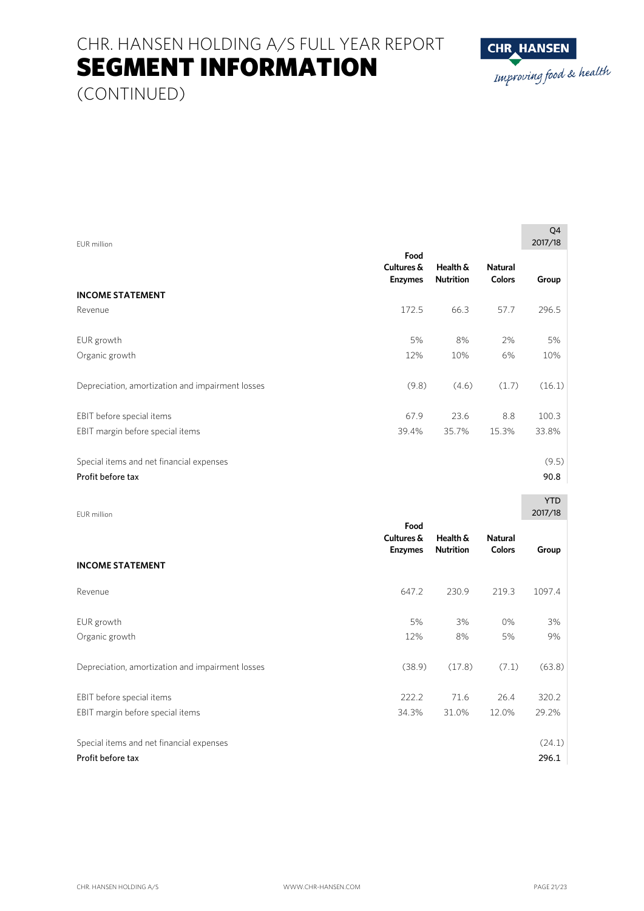# CHR. HANSEN HOLDING A/S FULL YEAR REPORT SEGMENT INFORMATION



(CONTINUED)

| <b>EUR</b> million                               |                                      |                              |                                 | Q <sub>4</sub><br>2017/18 |
|--------------------------------------------------|--------------------------------------|------------------------------|---------------------------------|---------------------------|
|                                                  | Food<br>Cultures &<br><b>Enzymes</b> | Health &<br><b>Nutrition</b> | <b>Natural</b><br>Colors        | Group                     |
| <b>INCOME STATEMENT</b><br>Revenue               | 172.5                                | 66.3                         | 57.7                            | 296.5                     |
|                                                  |                                      |                              |                                 |                           |
| EUR growth                                       | 5%                                   | 8%                           | 2%                              | 5%                        |
| Organic growth                                   | 12%                                  | 10%                          | 6%                              | 10%                       |
| Depreciation, amortization and impairment losses | (9.8)                                | (4.6)                        | (1.7)                           | (16.1)                    |
| EBIT before special items                        | 67.9                                 | 23.6                         | 8.8                             | 100.3                     |
| EBIT margin before special items                 | 39.4%                                | 35.7%                        | 15.3%                           | 33.8%                     |
| Special items and net financial expenses         |                                      |                              |                                 | (9.5)                     |
| Profit before tax                                |                                      |                              |                                 | 90.8                      |
| <b>EUR</b> million                               |                                      |                              |                                 | <b>YTD</b><br>2017/18     |
|                                                  | Food<br>Cultures &<br><b>Enzymes</b> | Health &<br><b>Nutrition</b> | <b>Natural</b><br><b>Colors</b> | Group                     |
| <b>INCOME STATEMENT</b>                          |                                      |                              |                                 |                           |
| Revenue                                          | 647.2                                | 230.9                        | 219.3                           | 1097.4                    |
| EUR growth                                       | 5%                                   | 3%                           | 0%                              | 3%                        |

Organic growth 12% 8% 5% 9% Depreciation, amortization and impairment losses (38.9) (17.8) (7.1) (63.8) EBIT before special items 222.2 71.6 26.4 320.2 EBIT margin before special items 34.3% 31.0% 12.0% 29.2% Special items and net financial expenses (24.1) Special items and net financial expenses (24.1)

Profit before tax 296.1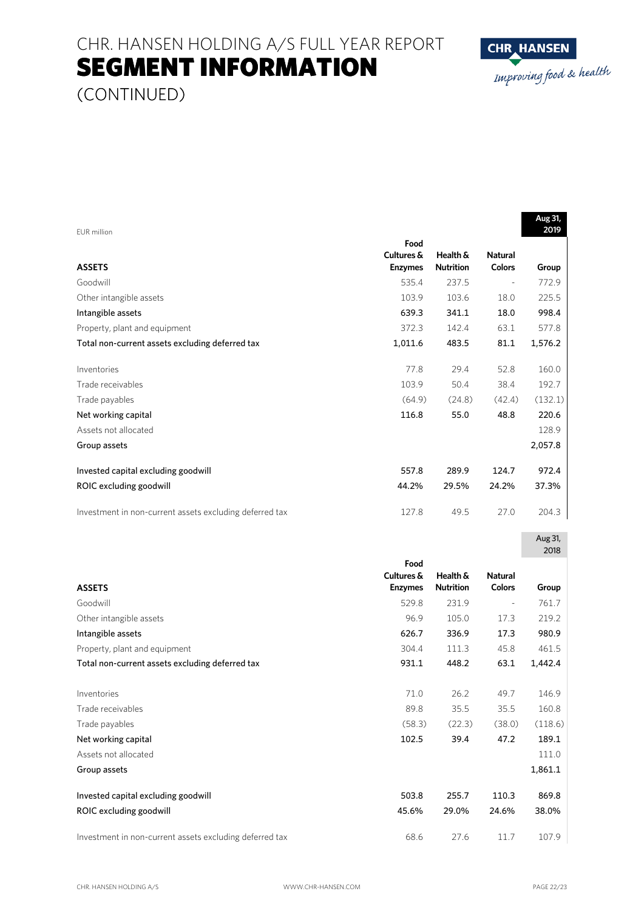CHR. HANSEN HOLDING A/S FULL YEAR REPORT SEGMENT INFORMATION



(CONTINUED)

|                                                         |                    |                  |                | Aug 31, |
|---------------------------------------------------------|--------------------|------------------|----------------|---------|
| EUR million                                             |                    |                  |                | 2019    |
|                                                         | Food<br>Cultures & | Health &         | <b>Natural</b> |         |
| <b>ASSETS</b>                                           | <b>Enzymes</b>     | <b>Nutrition</b> | <b>Colors</b>  | Group   |
| Goodwill                                                | 535.4              | 237.5            |                | 772.9   |
| Other intangible assets                                 | 103.9              | 103.6            | 18.0           | 225.5   |
| Intangible assets                                       | 639.3              | 341.1            | 18.0           | 998.4   |
| Property, plant and equipment                           | 372.3              | 142.4            | 63.1           | 577.8   |
| Total non-current assets excluding deferred tax         | 1,011.6            | 483.5            | 81.1           | 1,576.2 |
| Inventories                                             | 77.8               | 29.4             | 52.8           | 160.0   |
| Trade receivables                                       | 103.9              | 50.4             | 38.4           | 192.7   |
| Trade payables                                          | (64.9)             | (24.8)           | (42.4)         | (132.1) |
| Net working capital                                     | 116.8              | 55.0             | 48.8           | 220.6   |
| Assets not allocated                                    |                    |                  |                | 128.9   |
| Group assets                                            |                    |                  |                | 2,057.8 |
| Invested capital excluding goodwill                     | 557.8              | 289.9            | 124.7          | 972.4   |
| ROIC excluding goodwill                                 | 44.2%              | 29.5%            | 24.2%          | 37.3%   |
| Investment in non-current assets excluding deferred tax | 127.8              | 49.5             | 27.0           | 204.3   |
|                                                         |                    |                  |                |         |
|                                                         |                    |                  |                | Aug 31, |
|                                                         | Food               |                  |                | 2018    |
|                                                         | Cultures &         | Health &         | <b>Natural</b> |         |
| <b>ASSETS</b>                                           | <b>Enzymes</b>     | <b>Nutrition</b> | <b>Colors</b>  | Group   |
| Goodwill                                                | 529.8              | 231.9            | $\frac{1}{2}$  | 761.7   |
| Other intangible assets                                 | 96.9               | 105.0            | 17.3           | 219.2   |
| Intangible assets                                       | 626.7              | 336.9            | 17.3           | 980.9   |
| Property, plant and equipment                           | 304.4              | 111.3            | 45.8           | 461.5   |
| Total non-current assets excluding deferred tax         | 931.1              | 448.2            | 63.1           | 1,442.4 |
| Inventories                                             | 71.0               | 26.2             | 49.7           | 146.9   |
| Trade receivables                                       | 89.8               | 35.5             | 35.5           | 160.8   |
| Trade payables                                          | (58.3)             | (22.3)           | (38.0)         | (118.6) |
| Net working capital                                     | 102.5              | 39.4             | 47.2           | 189.1   |
| Assets not allocated                                    |                    |                  |                | 111.0   |
| Group assets                                            |                    |                  |                | 1,861.1 |
| Invested capital excluding goodwill                     | 503.8              | 255.7            | 110.3          | 869.8   |
| ROIC excluding goodwill                                 | 45.6%              | 29.0%            | 24.6%          | 38.0%   |